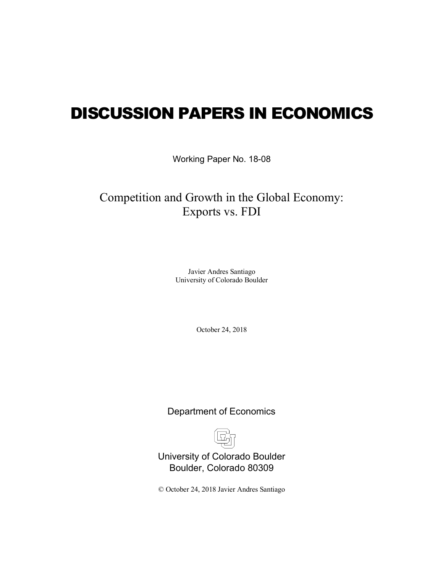# DISCUSSION PAPERS IN ECONOMICS

Working Paper No. 18-08

## Competition and Growth in the Global Economy: Exports vs. FDI

Javier Andres Santiago University of Colorado Boulder

October 24, 2018

Department of Economics



University of Colorado Boulder Boulder, Colorado 80309

© October 24, 2018 Javier Andres Santiago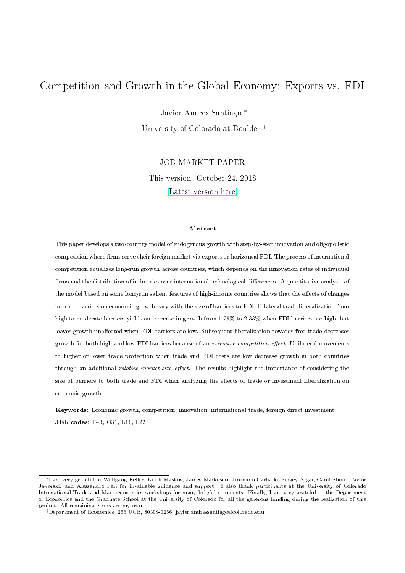## <span id="page-1-0"></span>Competition and Growth in the Global Economy: Exports vs. FDI

Javier Andres Santiago <sup>∗</sup>

University of Colorado at Boulder †

JOB-MARKET PAPER

This version: October 24, 2018 [Latest version here](https://sites.google.com/a/colorado.edu/javierandres/research/)

#### Abstract

This paper develops a two-country model of endogenous growth with step-by-step innovation and oligopolistic competition where firms serve their foreign market via exports or horizontal FDI. The process of international competition equalizes long-run growth across countries, which depends on the innovation rates of individual firms and the distribution of industries over international technological differences. A quantitative analysis of the model based on some long-run salient features of high-income countries shows that the effects of changes in trade barriers on economic growth vary with the size of barriers to FDI. Bilateral trade liberalization from high to moderate barriers yields an increase in growth from 1.79% to 2.33% when FDI barriers are high, but leaves growth unaffected when FDI barriers are low. Subsequent liberalization towards free trade decreases growth for both high and low FDI barriers because of an excessive-competition effect. Unilateral movements to higher or lower trade protection when trade and FDI costs are low decrease growth in both countries through an additional *relative-market-size effect*. The results highlight the importance of considering the size of barriers to both trade and FDI when analyzing the effects of trade or investment liberalization on economic growth.

Keywords: Economic growth, competition, innovation, international trade, foreign direct investment JEL codes: F43, O31, L11, L22

<sup>∗</sup>I am very grateful to Wolfgang Keller, Keith Maskus, James Markusen, Jeronimo Carballo, Sergey Nigai, Carol Shiue, Taylor Jaworski, and Alessandro Peri for invaluable guidance and support. I also thank participants at the University of Colorado International Trade and Macroeconomics workshops for many helpful comments. Finally, I am very grateful to the Department of Economics and the Graduate School at the University of Colorado for all the generous funding during the realization of this project. All remaining errors are my own.

<sup>†</sup>Department of Economics, 256 UCB, 80309-0256; javier.andressantiago@colorado.edu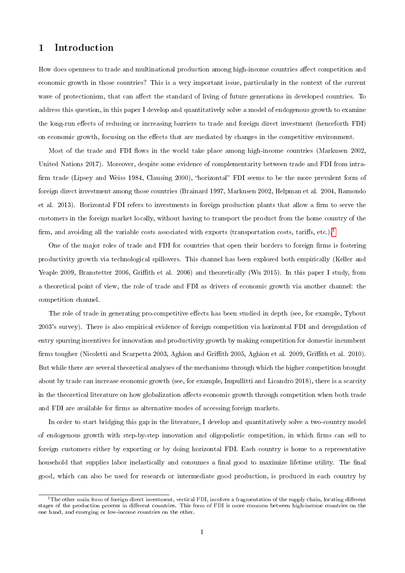## 1 Introduction

How does openness to trade and multinational production among high-income countries affect competition and economic growth in those countries? This is a very important issue, particularly in the context of the current wave of protectionism, that can affect the standard of living of future generations in developed countries. To address this question, in this paper I develop and quantitatively solve a model of endogenous growth to examine the long-run effects of reducing or increasing barriers to trade and foreign direct investment (henceforth FDI) on economic growth, focusing on the effects that are mediated by changes in the competitive environment.

Most of the trade and FDI flows in the world take place among high-income countries (Markusen 2002, United Nations 2017). Moreover, despite some evidence of complementarity between trade and FDI from intra firm trade (Lipsey and Weiss 1984, Clausing 2000), "horizontal" FDI seems to be the more prevalent form of foreign direct investment among those countries (Brainard 1997, Markusen 2002, Helpman et al. 2004, Ramondo et al. 2013). Horizontal FDI refers to investments in foreign production plants that allow a firm to serve the customers in the foreign market locally, without having to transport the product from the home country of the firm, and avoiding all the variable costs associated with exports (transportation costs, tariffs, etc.).<sup>[1](#page-1-0)</sup>

One of the major roles of trade and FDI for countries that open their borders to foreign firms is fostering productivity growth via technological spillovers. This channel has been explored both empirically (Keller and Yeaple 2009, Branstetter 2006, Griffith et al. 2006) and theoretically (Wu 2015). In this paper I study, from a theoretical point of view, the role of trade and FDI as drivers of economic growth via another channel: the competition channel.

The role of trade in generating pro-competitive effects has been studied in depth (see, for example, Tybout 2003's survey). There is also empirical evidence of foreign competition via horizontal FDI and deregulation of entry spurring incentives for innovation and productivity growth by making competition for domestic incumbent firms tougher (Nicoletti and Scarpetta 2003, Aghion and Griffith 2005, Aghion et al. 2009, Griffith et al. 2010). But while there are several theoretical analyses of the mechanisms through which the higher competition brought about by trade can increase economic growth (see, for example, Impullitti and Licandro 2018), there is a scarcity in the theoretical literature on how globalization affects economic growth through competition when both trade and FDI are available for firms as alternative modes of accessing foreign markets.

In order to start bridging this gap in the literature, I develop and quantitatively solve a two-country model of endogenous growth with step-by-step innovation and oligopolistic competition, in which firms can sell to foreign customers either by exporting or by doing horizontal FDI. Each country is home to a representative household that supplies labor inelastically and consumes a final good to maximize lifetime utility. The final good, which can also be used for research or intermediate good production, is produced in each country by

 $1$ The other main form of foreign direct investment, vertical FDI, involves a fragmentation of the supply chain, locating different stages of the production process in different countries. This form of FDI is more common between high-income countries on the one hand, and emerging or low-income countries on the other.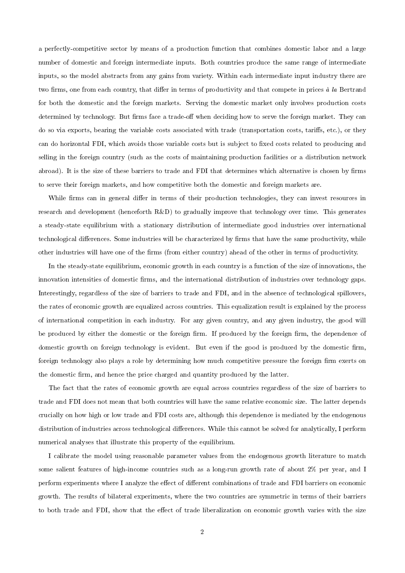a perfectly-competitive sector by means of a production function that combines domestic labor and a large number of domestic and foreign intermediate inputs. Both countries produce the same range of intermediate inputs, so the model abstracts from any gains from variety. Within each intermediate input industry there are two firms, one from each country, that differ in terms of productivity and that compete in prices à la Bertrand for both the domestic and the foreign markets. Serving the domestic market only involves production costs determined by technology. But firms face a trade-off when deciding how to serve the foreign market. They can do so via exports, bearing the variable costs associated with trade (transportation costs, tariffs, etc.), or they can do horizontal FDI, which avoids those variable costs but is subject to fixed costs related to producing and selling in the foreign country (such as the costs of maintaining production facilities or a distribution network abroad). It is the size of these barriers to trade and FDI that determines which alternative is chosen by firms to serve their foreign markets, and how competitive both the domestic and foreign markets are.

While firms can in general differ in terms of their production technologies, they can invest resources in research and development (henceforth R&D) to gradually improve that technology over time. This generates a steady-state equilibrium with a stationary distribution of intermediate good industries over international technological differences. Some industries will be characterized by firms that have the same productivity, while other industries will have one of the firms (from either country) ahead of the other in terms of productivity.

In the steady-state equilibrium, economic growth in each country is a function of the size of innovations, the innovation intensities of domestic firms, and the international distribution of industries over technology gaps. Interestingly, regardless of the size of barriers to trade and FDI, and in the absence of technological spillovers, the rates of economic growth are equalized across countries. This equalization result is explained by the process of international competition in each industry. For any given country, and any given industry, the good will be produced by either the domestic or the foreign firm. If produced by the foreign firm, the dependence of domestic growth on foreign technology is evident. But even if the good is produced by the domestic firm, foreign technology also plays a role by determining how much competitive pressure the foreign firm exerts on the domestic firm, and hence the price charged and quantity produced by the latter.

The fact that the rates of economic growth are equal across countries regardless of the size of barriers to trade and FDI does not mean that both countries will have the same relative economic size. The latter depends crucially on how high or low trade and FDI costs are, although this dependence is mediated by the endogenous distribution of industries across technological differences. While this cannot be solved for analytically, I perform numerical analyses that illustrate this property of the equilibrium.

I calibrate the model using reasonable parameter values from the endogenous growth literature to match some salient features of high-income countries such as a long-run growth rate of about 2% per year, and I perform experiments where I analyze the effect of different combinations of trade and FDI barriers on economic growth. The results of bilateral experiments, where the two countries are symmetric in terms of their barriers to both trade and FDI, show that the effect of trade liberalization on economic growth varies with the size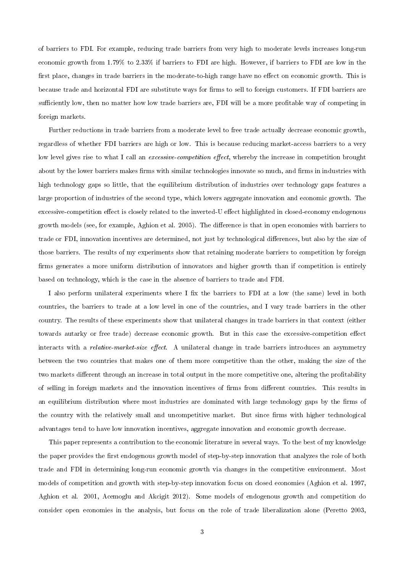of barriers to FDI. For example, reducing trade barriers from very high to moderate levels increases long-run economic growth from 1.79% to 2.33% if barriers to FDI are high. However, if barriers to FDI are low in the first place, changes in trade barriers in the moderate-to-high range have no effect on economic growth. This is because trade and horizontal FDI are substitute ways for firms to sell to foreign customers. If FDI barriers are sufficiently low, then no matter how low trade barriers are, FDI will be a more profitable way of competing in foreign markets.

Further reductions in trade barriers from a moderate level to free trade actually decrease economic growth, regardless of whether FDI barriers are high or low. This is because reducing market-access barriers to a very low level gives rise to what I call an *excessive-competition effect*, whereby the increase in competition brought about by the lower barriers makes firms with similar technologies innovate so much, and firms in industries with high technology gaps so little, that the equilibrium distribution of industries over technology gaps features a large proportion of industries of the second type, which lowers aggregate innovation and economic growth. The excessive-competition effect is closely related to the inverted-U effect highlighted in closed-economy endogenous growth models (see, for example, Aghion et al. 2005). The difference is that in open economies with barriers to trade or FDI, innovation incentives are determined, not just by technological differences, but also by the size of those barriers. The results of my experiments show that retaining moderate barriers to competition by foreign firms generates a more uniform distribution of innovators and higher growth than if competition is entirely based on technology, which is the case in the absence of barriers to trade and FDI.

I also perform unilateral experiments where I fix the barriers to FDI at a low (the same) level in both countries, the barriers to trade at a low level in one of the countries, and I vary trade barriers in the other country. The results of these experiments show that unilateral changes in trade barriers in that context (either towards autarky or free trade) decrease economic growth. But in this case the excessive-competition effect interacts with a *relative-market-size effect*. A unilateral change in trade barriers introduces an asymmetry between the two countries that makes one of them more competitive than the other, making the size of the two markets different through an increase in total output in the more competitive one, altering the profitability of selling in foreign markets and the innovation incentives of firms from different countries. This results in an equilibrium distribution where most industries are dominated with large technology gaps by the firms of the country with the relatively small and uncompetitive market. But since firms with higher technological advantages tend to have low innovation incentives, aggregate innovation and economic growth decrease.

This paper represents a contribution to the economic literature in several ways. To the best of my knowledge the paper provides the first endogenous growth model of step-by-step innovation that analyzes the role of both trade and FDI in determining long-run economic growth via changes in the competitive environment. Most models of competition and growth with step-by-step innovation focus on closed economies (Aghion et al. 1997, Aghion et al. 2001, Acemoglu and Akcigit 2012). Some models of endogenous growth and competition do consider open economies in the analysis, but focus on the role of trade liberalization alone (Peretto 2003,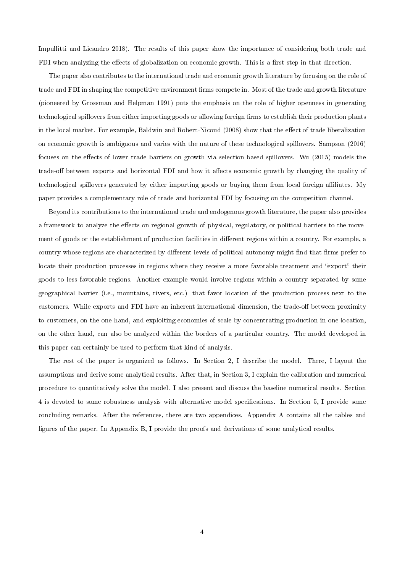Impullitti and Licandro 2018). The results of this paper show the importance of considering both trade and FDI when analyzing the effects of globalization on economic growth. This is a first step in that direction.

The paper also contributes to the international trade and economic growth literature by focusing on the role of trade and FDI in shaping the competitive environment firms compete in. Most of the trade and growth literature (pioneered by Grossman and Helpman 1991) puts the emphasis on the role of higher openness in generating technological spillovers from either importing goods or allowing foreign firms to establish their production plants in the local market. For example, Baldwin and Robert-Nicoud (2008) show that the effect of trade liberalization on economic growth is ambiguous and varies with the nature of these technological spillovers. Sampson (2016) focuses on the effects of lower trade barriers on growth via selection-based spillovers. Wu (2015) models the trade-off between exports and horizontal FDI and how it affects economic growth by changing the quality of technological spillovers generated by either importing goods or buying them from local foreign affiliates. My paper provides a complementary role of trade and horizontal FDI by focusing on the competition channel.

Beyond its contributions to the international trade and endogenous growth literature, the paper also provides a framework to analyze the effects on regional growth of physical, regulatory, or political barriers to the movement of goods or the establishment of production facilities in different regions within a country. For example, a country whose regions are characterized by different levels of political autonomy might find that firms prefer to locate their production processes in regions where they receive a more favorable treatment and "export" their goods to less favorable regions. Another example would involve regions within a country separated by some geographical barrier (i.e., mountains, rivers, etc.) that favor location of the production process next to the customers. While exports and FDI have an inherent international dimension, the trade-off between proximity to customers, on the one hand, and exploiting economies of scale by concentrating production in one location, on the other hand, can also be analyzed within the borders of a particular country. The model developed in this paper can certainly be used to perform that kind of analysis.

The rest of the paper is organized as follows. In Section 2, I describe the model. There, I layout the assumptions and derive some analytical results. After that, in Section 3, I explain the calibration and numerical procedure to quantitatively solve the model. I also present and discuss the baseline numerical results. Section 4 is devoted to some robustness analysis with alternative model specifications. In Section 5, I provide some concluding remarks. After the references, there are two appendices. Appendix A contains all the tables and figures of the paper. In Appendix B, I provide the proofs and derivations of some analytical results.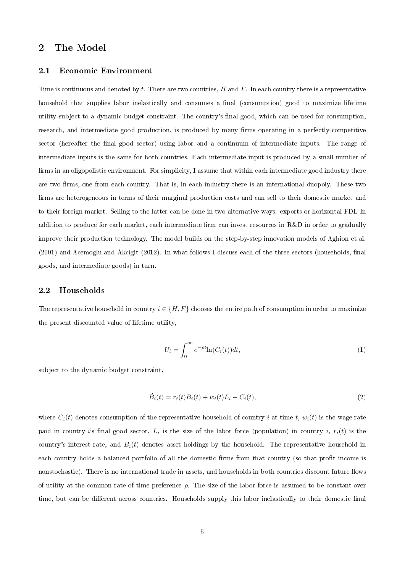## 2 The Model

#### 2.1 Economic Environment

Time is continuous and denoted by t. There are two countries, H and F. In each country there is a representative household that supplies labor inelastically and consumes a final (consumption) good to maximize lifetime utility subject to a dynamic budget constraint. The country's final good, which can be used for consumption, research, and intermediate good production, is produced by many firms operating in a perfectly-competitive sector (hereafter the final good sector) using labor and a continuum of intermediate inputs. The range of intermediate inputs is the same for both countries. Each intermediate input is produced by a small number of firms in an oligopolistic environment. For simplicity, I assume that within each intermediate good industry there are two firms, one from each country. That is, in each industry there is an international duopoly. These two firms are heterogeneous in terms of their marginal production costs and can sell to their domestic market and to their foreign market. Selling to the latter can be done in two alternative ways: exports or horizontal FDI. In addition to produce for each market, each intermediate firm can invest resources in  $R\&D$  in order to gradually improve their production technology. The model builds on the step-by-step innovation models of Aghion et al.  $(2001)$  and Acemoglu and Akcigit  $(2012)$ . In what follows I discuss each of the three sectors (households, final goods, and intermediate goods) in turn.

#### 2.2 Households

The representative household in country  $i \in \{H, F\}$  chooses the entire path of consumption in order to maximize the present discounted value of lifetime utility,

$$
U_i = \int_0^\infty e^{-\rho t} \ln(C_i(t)) dt,\tag{1}
$$

subject to the dynamic budget constraint,

$$
\dot{B}_i(t) = r_i(t)B_i(t) + w_i(t)L_i - C_i(t),
$$
\n(2)

where  $C_i(t)$  denotes consumption of the representative household of country i at time t,  $w_i(t)$  is the wage rate paid in country- $i$ 's final good sector,  $L_i$  is the size of the labor force (population) in country  $i, \ r_i(t)$  is the country's interest rate, and  $B_i(t)$  denotes asset holdings by the household. The representative household in each country holds a balanced portfolio of all the domestic firms from that country (so that profit income is nonstochastic). There is no international trade in assets, and households in both countries discount future flows of utility at the common rate of time preference  $\rho$ . The size of the labor force is assumed to be constant over time, but can be different across countries. Households supply this labor inelastically to their domestic final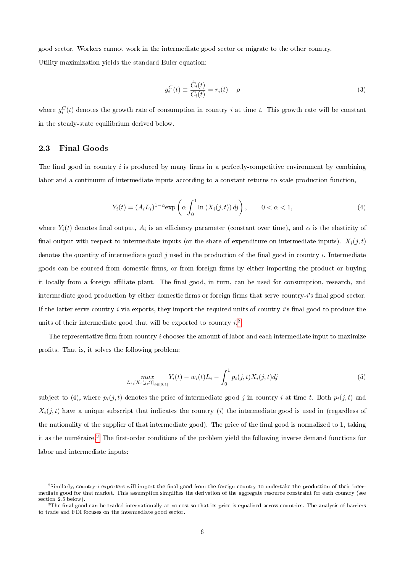good sector. Workers cannot work in the intermediate good sector or migrate to the other country. Utility maximization yields the standard Euler equation:

$$
g_i^C(t) \equiv \frac{\dot{C}_i(t)}{C_i(t)} = r_i(t) - \rho
$$
\n(3)

where  $g_i^C(t)$  denotes the growth rate of consumption in country  $i$  at time  $t$ . This growth rate will be constant in the steady-state equilibrium derived below.

#### 2.3 Final Goods

The final good in country  $i$  is produced by many firms in a perfectly-competitive environment by combining labor and a continuum of intermediate inputs according to a constant-returns-to-scale production function,

$$
Y_i(t) = (A_i L_i)^{1-\alpha} \exp\left(\alpha \int_0^1 \ln\left(X_i(j,t)\right) df\right), \qquad 0 < \alpha < 1,\tag{4}
$$

where  $Y_i(t)$  denotes final output,  $A_i$  is an efficiency parameter (constant over time), and  $\alpha$  is the elasticity of final output with respect to intermediate inputs (or the share of expenditure on intermediate inputs).  $X_i(j, t)$ denotes the quantity of intermediate good j used in the production of the final good in country i. Intermediate goods can be sourced from domestic firms, or from foreign firms by either importing the product or buying it locally from a foreign affiliate plant. The final good, in turn, can be used for consumption, research, and intermediate good production by either domestic firms or foreign firms that serve country- $i$ 's final good sector. If the latter serve country  $i$  via exports, they import the required units of country- $i$ 's final good to produce the units of their intermediate good that will be exported to country  $i$ .<sup>[2](#page-1-0)</sup>

The representative firm from country  $i$  chooses the amount of labor and each intermediate input to maximize profits. That is, it solves the following problem:

$$
\max_{L_i, [X_i(j,t)]_{j \in [0,1]}} Y_i(t) - w_i(t) L_i - \int_0^1 p_i(j,t) X_i(j,t) dj \tag{5}
$$

subject to (4), where  $p_i(j, t)$  denotes the price of intermediate good j in country i at time t. Both  $p_i(j, t)$  and  $X_i(j, t)$  have a unique subscript that indicates the country (i) the intermediate good is used in (regardless of the nationality of the supplier of that intermediate good). The price of the final good is normalized to 1, taking it as the numéraire.<sup>[3](#page-1-0)</sup> The first-order conditions of the problem yield the following inverse demand functions for labor and intermediate inputs:

 $^2$ Similarly, country-i exporters will import the final good from the foreign country to undertake the production of their intermediate good for that market. This assumption simplies the derivation of the aggregate resource constraint for each country (see section 2.5 below).

 $3$ The final good can be traded internationally at no cost so that its price is equalized across countries. The analysis of barriers to trade and FDI focuses on the intermediate good sector.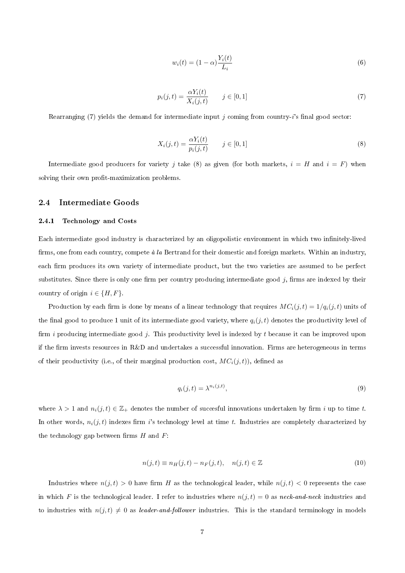$$
w_i(t) = (1 - \alpha) \frac{Y_i(t)}{L_i} \tag{6}
$$

$$
p_i(j,t) = \frac{\alpha Y_i(t)}{X_i(j,t)} \qquad j \in [0,1] \tag{7}
$$

Rearranging (7) yields the demand for intermediate input j coming from country-i's final good sector:

$$
X_i(j,t) = \frac{\alpha Y_i(t)}{p_i(j,t)} \qquad j \in [0,1] \tag{8}
$$

Intermediate good producers for variety j take (8) as given (for both markets,  $i = H$  and  $i = F$ ) when solving their own profit-maximization problems.

#### 2.4 Intermediate Goods

#### 2.4.1 Technology and Costs

Each intermediate good industry is characterized by an oligopolistic environment in which two infinitely-lived firms, one from each country, compete  $\dot{a}$  la Bertrand for their domestic and foreign markets. Within an industry, each firm produces its own variety of intermediate product, but the two varieties are assumed to be perfect substitutes. Since there is only one firm per country producing intermediate good  $j$ , firms are indexed by their country of origin  $i \in \{H, F\}.$ 

Production by each firm is done by means of a linear technology that requires  $MC_i(j, t) = 1/q_i(j, t)$  units of the final good to produce 1 unit of its intermediate good variety, where  $q_i(j, t)$  denotes the productivity level of firm i producing intermediate good j. This productivity level is indexed by t because it can be improved upon if the firm invests resources in  $R\&D$  and undertakes a successful innovation. Firms are heterogeneous in terms of their productivity (i.e., of their marginal production cost,  $MC_i(j, t)$ ), defined as

$$
q_i(j,t) = \lambda^{n_i(j,t)},\tag{9}
$$

where  $\lambda > 1$  and  $n_i(j, t) \in \mathbb{Z}_+$  denotes the number of succesful innovations undertaken by firm i up to time t. In other words,  $n_i(j, t)$  indexes firm i's technology level at time t. Industries are completely characterized by the technology gap between firms  $H$  and  $F$ :

$$
n(j,t) \equiv n_H(j,t) - n_F(j,t), \quad n(j,t) \in \mathbb{Z}
$$
\n
$$
(10)
$$

Industries where  $n(j, t) > 0$  have firm H as the technological leader, while  $n(j, t) < 0$  represents the case in which F is the technological leader. I refer to industries where  $n(j, t) = 0$  as neck-and-neck industries and to industries with  $n(j, t) \neq 0$  as leader-and-follower industries. This is the standard terminology in models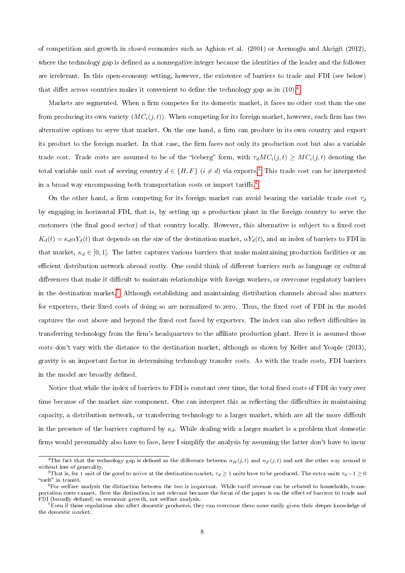of competition and growth in closed economies such as Aghion et al. (2001) or Acemoglu and Akcigit (2012), where the technology gap is defined as a nonnegative integer because the identities of the leader and the follower are irrelevant. In this open-economy setting, however, the existence of barriers to trade and FDI (see below) that differ across countries makes it convenient to define the technology gap as in  $(10)^{4}$  $(10)^{4}$  $(10)^{4}$ .

Markets are segmented. When a firm competes for its domestic market, it faces no other cost than the one from producing its own variety  $(MC_i(j, t))$ . When competing for its foreign market, however, each firm has two alternative options to serve that market. On the one hand, a firm can produce in its own country and export its product to the foreign market. In that case, the firm faces not only its production cost but also a variable trade cost. Trade costs are assumed to be of the "iceberg" form, with  $\tau_d MC_i(j, t) \geq MC_i(j, t)$  denoting the total variable unit cost of serving country  $d \in \{H, F\}$   $(i \neq d)$  via exports.<sup>[5](#page-1-0)</sup> This trade cost can be interpreted in a broad way encompassing both transportation costs or import tariffs.<sup>[6](#page-1-0)</sup>

On the other hand, a firm competing for its foreign market can avoid bearing the variable trade cost  $\tau_d$ by engaging in horizontal FDI, that is, by setting up a production plant in the foreign country to serve the customers (the final good sector) of that country locally. However, this alternative is subject to a fixed cost  $K_d(t) = \kappa_d \alpha Y_d(t)$  that depends on the size of the destination market,  $\alpha Y_d(t)$ , and an index of barriers to FDI in that market,  $\kappa_d \in [0,1]$ . The latter captures various barriers that make maintaining production facilities or an efficient distribution network abroad costly. One could think of different barriers such as language or cultural differences that make it difficult to maintain relationships with foreign workers, or overcome regulatory barriers in the destination market.[7](#page-1-0) Although establishing and maintaining distribution channels abroad also matters for exporters, their fixed costs of doing so are normalized to zero. Thus, the fixed cost of FDI in the model captures the cost above and beyond the fixed cost faced by exporters. The index can also reflect difficulties in transferring technology from the firm's headquarters to the affiliate production plant. Here it is assumed those costs don't vary with the distance to the destination market, although as shown by Keller and Yeaple (2013), gravity is an important factor in determining technology transfer costs. As with the trade costs, FDI barriers in the model are broadly defined.

Notice that while the index of barriers to FDI is constant over time, the total fixed costs of FDI do vary over time because of the market size component. One can interpret this as reflecting the difficulties in maintaining capacity, a distribution network, or transferring technology to a larger market, which are all the more difficult in the presence of the barriers captured by  $\kappa_d$ . While dealing with a larger market is a problem that domestic firms would presumably also have to face, here I simplify the analysis by assuming the latter don't have to incur

<sup>&</sup>lt;sup>4</sup>The fact that the technology gap is defined as the difference between  $n_H(j,t)$  and  $n_F(j,t)$  and not the other way around is without loss of generality.

<sup>&</sup>lt;sup>5</sup>That is, for 1 unit of the good to arrive at the destination market,  $\tau_d \ge 1$  units have to be produced. The extra units  $\tau_d - 1 \ge 0$ "melt" in transit.

 $6$ For welfare analysis the distinction between the two is important. While tariff revenue can be rebated to households, transportation costs cannot. Here the distinction is not relevant because the focus of the paper is on the effect of barriers to trade and FDI (broadly defined) on economic growth, not welfare analysis.

 $7$  Even if those regulations also affect domestic producers, they can overcome them more easily given their deeper knowledge of the domestic market.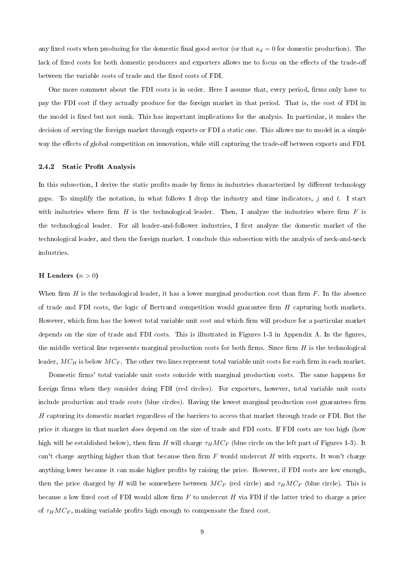any fixed costs when producing for the domestic final good sector (or that  $\kappa_d = 0$  for domestic production). The lack of fixed costs for both domestic producers and exporters allows me to focus on the effects of the trade-off between the variable costs of trade and the fixed costs of FDI.

One more comment about the FDI costs is in order. Here I assume that, every period, firms only have to pay the FDI cost if they actually produce for the foreign market in that period. That is, the cost of FDI in the model is fixed but not sunk. This has important implications for the analysis. In particular, it makes the decision of serving the foreign market through exports or FDI a static one. This allows me to model in a simple way the effects of global competition on innovation, while still capturing the trade-off between exports and FDI.

#### 2.4.2 Static Profit Analysis

In this subsection, I derive the static profits made by firms in industries characterized by different technology gaps. To simplify the notation, in what follows I drop the industry and time indicators, j and t. I start with industries where firm  $H$  is the technological leader. Then, I analyze the industries where firm  $F$  is the technological leader. For all leader-and-follower industries, I first analyze the domestic market of the technological leader, and then the foreign market. I conclude this subsection with the analysis of neck-and-neck industries.

#### H Leaders  $(n > 0)$

When firm  $H$  is the technological leader, it has a lower marginal production cost than firm  $F$ . In the absence of trade and FDI costs, the logic of Bertrand competition would guarantee firm  $H$  capturing both markets. However, which firm has the lowest total variable unit cost and which firm will produce for a particular market depends on the size of trade and FDI costs. This is illustrated in Figures 1-3 in Appendix A. In the figures, the middle vertical line represents marginal production costs for both firms. Since firm  $H$  is the technological leader,  $MC_H$  is below  $MC_F$ . The other two lines represent total variable unit costs for each firm in each market.

Domestic firms' total variable unit costs coincide with marginal production costs. The same happens for foreign firms when they consider doing FDI (red circles). For exporters, however, total variable unit costs include production and trade costs (blue circles). Having the lowest marginal production cost guarantees firm H capturing its domestic market regardless of the barriers to access that market through trade or FDI. But the price it charges in that market does depend on the size of trade and FDI costs. If FDI costs are too high (how high will be established below), then firm H will charge  $\tau_H M C_F$  (blue circle on the left part of Figures 1-3). It can't charge anything higher than that because then firm  $F$  would undercut  $H$  with exports. It won't charge anything lower because it can make higher profits by raising the price. However, if FDI costs are low enough, then the price charged by H will be somewhere between  $MC_F$  (red circle) and  $\tau_H M C_F$  (blue circle). This is because a low fixed cost of FDI would allow firm  $F$  to undercut  $H$  via FDI if the latter tried to charge a price of  $\tau_H M C_F$ , making variable profits high enough to compensate the fixed cost.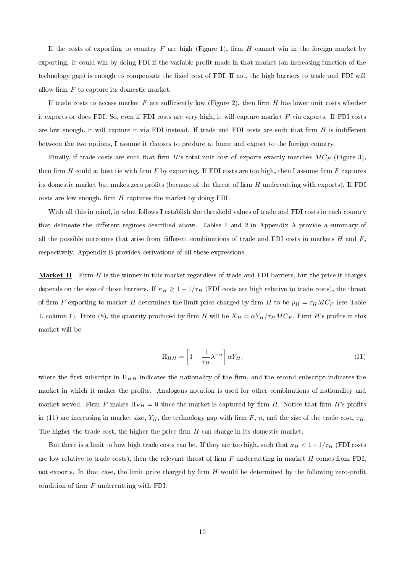If the costs of exporting to country F are high (Figure 1), firm H cannot win in the foreign market by exporting. It could win by doing FDI if the variable profit made in that market (an increasing function of the technology gap) is enough to compensate the fixed cost of FDI. If not, the high barriers to trade and FDI will allow firm  $F$  to capture its domestic market.

If trade costs to access market  $F$  are sufficiently low (Figure 2), then firm  $H$  has lower unit costs whether it exports or does FDI. So, even if FDI costs are very high, it will capture market F via exports. If FDI costs are low enough, it will capture it via FDI instead. If trade and FDI costs are such that firm  $H$  is indifferent between the two options, I assume it chooses to produce at home and export to the foreign country.

Finally, if trade costs are such that firm H's total unit cost of exports exactly matches  $MC_F$  (Figure 3), then firm H could at best tie with firm F by exporting. If FDI costs are too high, then I assume firm  $F$  captures its domestic market but makes zero profits (because of the threat of firm  $H$  undercutting with exports). If FDI costs are low enough, firm  $H$  captures the market by doing FDI.

With all this in mind, in what follows I establish the threshold values of trade and FDI costs in each country that delineate the different regimes described above. Tables 1 and 2 in Appendix A provide a summary of all the possible outcomes that arise from different combinations of trade and FDI costs in markets  $H$  and  $F$ , respectively. Appendix B provides derivations of all these expressions.

**Market H** Firm  $H$  is the winner in this market regardless of trade and FDI barriers, but the price it charges depends on the size of those barriers. If  $\kappa_H \geq 1 - 1/\tau_H$  (FDI costs are high relative to trade costs), the threat of firm F exporting to market H determines the limit price charged by firm H to be  $p_H = \tau_H M C_F$  (see Table 1, column 1). From (8), the quantity produced by firm H will be  $X_H = \alpha Y_H / \tau_H M C_F$ . Firm H's profits in this market will be

$$
\Pi_{HH} = \left[1 - \frac{1}{\tau_H} \lambda^{-n}\right] \alpha Y_H,\tag{11}
$$

where the first subscript in  $\Pi_{HH}$  indicates the nationality of the firm, and the second subscript indicates the market in which it makes the profits. Analogous notation is used for other combinations of nationality and market served. Firm F makes  $\Pi_{FH} = 0$  since the market is captured by firm H. Notice that firm H's profits in (11) are increasing in market size,  $Y_H$ , the technology gap with firm F, n, and the size of the trade cost,  $\tau_H$ . The higher the trade cost, the higher the price firm  $H$  can charge in its domestic market.

But there is a limit to how high trade costs can be. If they are too high, such that  $\kappa_H < 1-1/\tau_H$  (FDI costs are low relative to trade costs), then the relevant threat of firm  $F$  undercutting in market  $H$  comes from FDI, not exports. In that case, the limit price charged by firm  $H$  would be determined by the following zero-profit condition of firm  $F$  undercutting with FDI: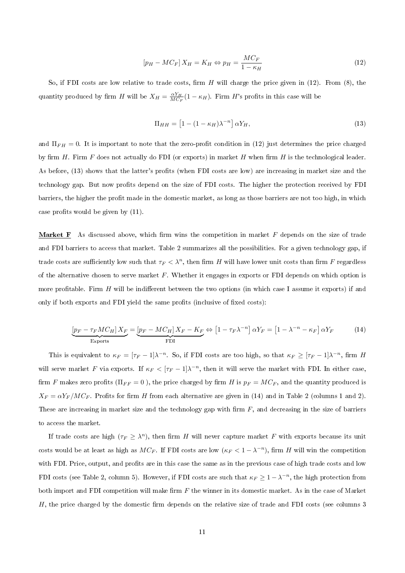$$
[p_H - MC_F]X_H = K_H \Leftrightarrow p_H = \frac{MC_F}{1 - \kappa_H} \tag{12}
$$

So, if FDI costs are low relative to trade costs, firm  $H$  will charge the price given in (12). From (8), the quantity produced by firm H will be  $X_H = \frac{\alpha Y_H}{MC_F}(1 - \kappa_H)$ . Firm H's profits in this case will be

$$
\Pi_{HH} = \left[1 - (1 - \kappa_H)\lambda^{-n}\right] \alpha Y_H,\tag{13}
$$

and  $\Pi_{FH} = 0$ . It is important to note that the zero-profit condition in (12) just determines the price charged by firm  $H$ . Firm  $F$  does not actually do FDI (or exports) in market  $H$  when firm  $H$  is the technological leader. As before, (13) shows that the latter's profits (when FDI costs are low) are increasing in market size and the technology gap. But now prots depend on the size of FDI costs. The higher the protection received by FDI barriers, the higher the profit made in the domestic market, as long as those barriers are not too high, in which case profits would be given by  $(11)$ .

**Market F** As discussed above, which firm wins the competition in market F depends on the size of trade and FDI barriers to access that market. Table 2 summarizes all the possibilities. For a given technology gap, if trade costs are sufficiently low such that  $\tau_F < \lambda^n$ , then firm H will have lower unit costs than firm F regardless of the alternative chosen to serve market  $F$ . Whether it engages in exports or FDI depends on which option is more profitable. Firm  $H$  will be indifferent between the two options (in which case I assume it exports) if and only if both exports and FDI yield the same profits (inclusive of fixed costs):

$$
\underbrace{\left[p_F - \tau_F M C_H\right] X_F}_{\text{Exports}} = \underbrace{\left[p_F - M C_H\right] X_F - K_F}_{\text{FDI}} \Leftrightarrow \left[1 - \tau_F \lambda^{-n}\right] \alpha Y_F = \left[1 - \lambda^{-n} - \kappa_F\right] \alpha Y_F \tag{14}
$$

This is equivalent to  $\kappa_F = [\tau_F - 1]\lambda^{-n}$ . So, if FDI costs are too high, so that  $\kappa_F \geq [\tau_F - 1]\lambda^{-n}$ , firm H will serve market F via exports. If  $\kappa_F < [\tau_F - 1]\lambda^{-n}$ , then it will serve the market with FDI. In either case, firm F makes zero profits ( $\Pi_{FF} = 0$ ), the price charged by firm H is  $p_F = MC_F$ , and the quantity produced is  $X_F = \alpha Y_F / M C_F$ . Profits for firm H from each alternative are given in (14) and in Table 2 (columns 1 and 2). These are increasing in market size and the technology gap with firm  $F$ , and decreasing in the size of barriers to access the market.

If trade costs are high  $(\tau_F \geq \lambda^n)$ , then firm H will never capture market F with exports because its unit costs would be at least as high as  $MC_F$ . If FDI costs are low  $(\kappa_F < 1 - \lambda^{-n})$ , firm H will win the competition with FDI. Price, output, and profits are in this case the same as in the previous case of high trade costs and low FDI costs (see Table 2, column 5). However, if FDI costs are such that  $\kappa_F \geq 1 - \lambda^{-n}$ , the high protection from both import and FDI competition will make firm  $F$  the winner in its domestic market. As in the case of Market  $H$ , the price charged by the domestic firm depends on the relative size of trade and FDI costs (see columns 3)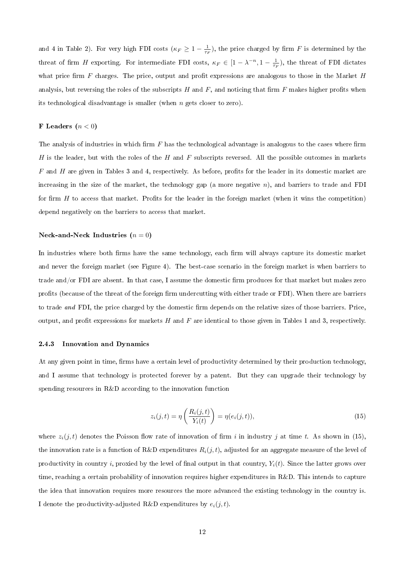and 4 in Table 2). For very high FDI costs ( $\kappa_F \geq 1 - \frac{1}{\tau_F}$ ), the price charged by firm F is determined by the threat of firm H exporting. For intermediate FDI costs,  $\kappa_F \in [1 - \lambda^{-n}, 1 - \frac{1}{\tau_F})$ , the threat of FDI dictates what price firm  $F$  charges. The price, output and profit expressions are analogous to those in the Market  $H$ analysis, but reversing the roles of the subscripts  $H$  and  $F$ , and noticing that firm  $F$  makes higher profits when its technological disadvantage is smaller (when n gets closer to zero).

#### F Leaders  $(n < 0)$

The analysis of industries in which firm  $F$  has the technological advantage is analogous to the cases where firm H is the leader, but with the roles of the H and F subscripts reversed. All the possible outcomes in markets  $F$  and  $H$  are given in Tables 3 and 4, respectively. As before, profits for the leader in its domestic market are increasing in the size of the market, the technology gap (a more negative  $n$ ), and barriers to trade and FDI for firm  $H$  to access that market. Profits for the leader in the foreign market (when it wins the competition) depend negatively on the barriers to access that market.

## Neck-and-Neck Industries  $(n = 0)$

In industries where both firms have the same technology, each firm will always capture its domestic market and never the foreign market (see Figure 4). The best-case scenario in the foreign market is when barriers to trade and/or FDI are absent. In that case, I assume the domestic firm produces for that market but makes zero profits (because of the threat of the foreign firm undercutting with either trade or FDI). When there are barriers to trade and FDI, the price charged by the domestic firm depends on the relative sizes of those barriers. Price, output, and profit expressions for markets  $H$  and  $F$  are identical to those given in Tables 1 and 3, respectively.

#### 2.4.3 Innovation and Dynamics

At any given point in time, firms have a certain level of productivity determined by their production technology, and I assume that technology is protected forever by a patent. But they can upgrade their technology by spending resources in R&D according to the innovation function

$$
z_i(j,t) = \eta\left(\frac{R_i(j,t)}{Y_i(t)}\right) = \eta(e_i(j,t)),\tag{15}
$$

where  $z_i(j,t)$  denotes the Poisson flow rate of innovation of firm i in industry j at time t. As shown in (15), the innovation rate is a function of R&D expenditures  $R_i(j, t)$ , adjusted for an aggregate measure of the level of productivity in country i, proxied by the level of final output in that country,  $Y_i(t)$ . Since the latter grows over time, reaching a certain probability of innovation requires higher expenditures in R&D. This intends to capture the idea that innovation requires more resources the more advanced the existing technology in the country is. I denote the productivity-adjusted R&D expenditures by  $e_i(j, t)$ .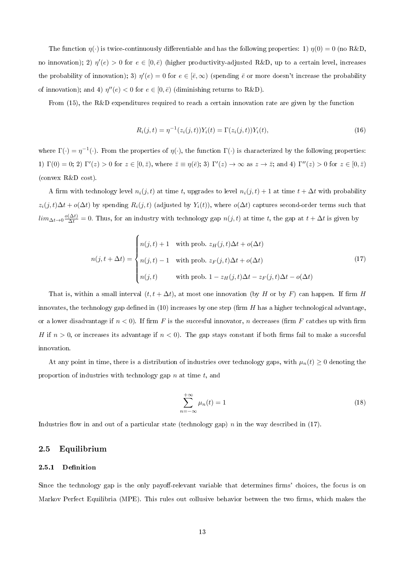The function  $\eta(\cdot)$  is twice-continuously differentiable and has the following properties: 1)  $\eta(0) = 0$  (no R&D, no innovation); 2)  $\eta'(e) > 0$  for  $e \in [0,\bar{e})$  (higher productivity-adjusted R&D, up to a certain level, increases the probability of innovation); 3)  $\eta'(e) = 0$  for  $e \in [\bar{e}, \infty)$  (spending  $\bar{e}$  or more doesn't increase the probability of innovation); and 4)  $\eta''(e) < 0$  for  $e \in [0, \bar{e})$  (diminishing returns to R&D).

From (15), the R&D expenditures required to reach a certain innovation rate are given by the function

$$
R_i(j,t) = \eta^{-1}(z_i(j,t))Y_i(t) = \Gamma(z_i(j,t))Y_i(t),
$$
\n(16)

where  $\Gamma(\cdot) = \eta^{-1}(\cdot)$ . From the properties of  $\eta(\cdot)$ , the function  $\Gamma(\cdot)$  is characterized by the following properties: 1)  $\Gamma(0) = 0$ ; 2)  $\Gamma'(z) > 0$  for  $z \in [0, \bar{z})$ , where  $\bar{z} \equiv \eta(\bar{e})$ ; 3)  $\Gamma'(z) \to \infty$  as  $z \to \bar{z}$ ; and 4)  $\Gamma''(z) > 0$  for  $z \in [0, \bar{z})$ (convex R&D cost).

A firm with technology level  $n_i(j, t)$  at time t, upgrades to level  $n_i(j, t) + 1$  at time  $t + \Delta t$  with probability  $z_i(j, t)\Delta t + o(\Delta t)$  by spending  $R_i(j, t)$  (adjusted by  $Y_i(t)$ ), where  $o(\Delta t)$  captures second-order terms such that  $\lim_{\Delta t\to 0}\frac{o(\Delta t)}{\Delta t}=0.$  Thus, for an industry with technology gap  $n(j,t)$  at time t, the gap at  $t+\Delta t$  is given by

$$
n(j, t + \Delta t) = \begin{cases} n(j, t) + 1 & \text{with prob. } z_H(j, t) \Delta t + o(\Delta t) \\ n(j, t) - 1 & \text{with prob. } z_F(j, t) \Delta t + o(\Delta t) \\ n(j, t) & \text{with prob. } 1 - z_H(j, t) \Delta t - z_F(j, t) \Delta t - o(\Delta t) \end{cases} \tag{17}
$$

That is, within a small interval  $(t, t + \Delta t)$ , at most one innovation (by H or by F) can happen. If firm H innovates, the technology gap defined in  $(10)$  increases by one step (firm H has a higher technological advantage, or a lower disadvantage if  $n < 0$ ). If firm F is the succesful innovator, n decreases (firm F catches up with firm H if  $n > 0$ , or increases its advantage if  $n < 0$ ). The gap stays constant if both firms fail to make a succesful innovation.

At any point in time, there is a distribution of industries over technology gaps, with  $\mu_n(t) \geq 0$  denoting the proportion of industries with technology gap  $n$  at time  $t$ , and

$$
\sum_{n=-\infty}^{+\infty} \mu_n(t) = 1
$$
\n(18)

Industries flow in and out of a particular state (technology gap) n in the way described in (17).

#### 2.5 Equilibrium

#### 2.5.1 Definition

Since the technology gap is the only payoff-relevant variable that determines firms' choices, the focus is on Markov Perfect Equilibria (MPE). This rules out collusive behavior between the two firms, which makes the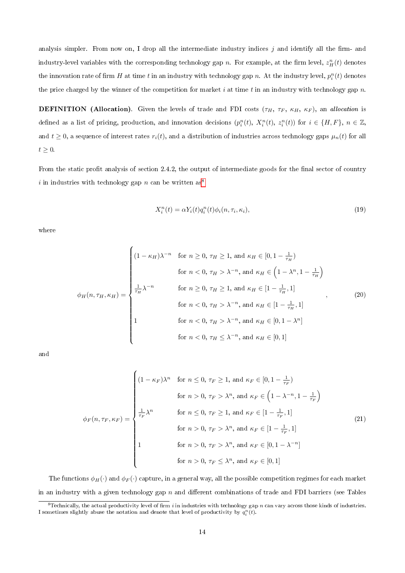analysis simpler. From now on, I drop all the intermediate industry indices  $j$  and identify all the firm- and industry-level variables with the corresponding technology gap  $n$ . For example, at the firm level,  $z_H^n(t)$  denotes the innovation rate of firm  $H$  at time  $t$  in an industry with technology gap  $n$ . At the industry level,  $p_i^n(t)$  denotes the price charged by the winner of the competition for market i at time t in an industry with technology gap  $n$ .

**DEFINITION** (Allocation). Given the levels of trade and FDI costs  $(\tau_H, \tau_F, \kappa_H, \kappa_F)$ , an allocation is defined as a list of pricing, production, and innovation decisions  $(p_i^n(t), X_i^n(t), z_i^n(t))$  for  $i \in \{H, F\}, n \in \mathbb{Z}$ , and  $t \geq 0$ , a sequence of interest rates  $r_i(t)$ , and a distribution of industries across technology gaps  $\mu_n(t)$  for all  $t \geq 0$ .

From the static profit analysis of section 2.4.2, the output of intermediate goods for the final sector of country i in industries with technology gap n can be written as<sup>[8](#page-1-0)</sup>

$$
X_i^n(t) = \alpha Y_i(t) q_i^n(t) \phi_i(n, \tau_i, \kappa_i), \qquad (19)
$$

where

$$
\phi_H(n, \tau_H, \kappa_H) = \begin{cases}\n(1 - \kappa_H)\lambda^{-n} & \text{for } n \ge 0, \tau_H \ge 1, \text{ and } \kappa_H \in [0, 1 - \frac{1}{\tau_H}) \\
& \text{for } n < 0, \tau_H > \lambda^{-n}, \text{ and } \kappa_H \in \left(1 - \lambda^n, 1 - \frac{1}{\tau_H}\right) \\
\frac{1}{\tau_H}\lambda^{-n} & \text{for } n \ge 0, \tau_H \ge 1, \text{ and } \kappa_H \in [1 - \frac{1}{\tau_H}, 1] \\
& \text{for } n < 0, \tau_H > \lambda^{-n}, \text{ and } \kappa_H \in [1 - \frac{1}{\tau_H}, 1]\n\end{cases}
$$
\n
$$
\text{for } n < 0, \tau_H > \lambda^{-n}, \text{ and } \kappa_H \in [0, 1 - \lambda^n]
$$
\n
$$
\text{for } n < 0, \tau_H \le \lambda^{-n}, \text{ and } \kappa_H \in [0, 1]\n\end{cases}
$$
\n
$$
(20)
$$

and

$$
\phi_F(n, \tau_F, \kappa_F) = \begin{cases}\n(1 - \kappa_F)\lambda^n & \text{for } n \le 0, \tau_F \ge 1, \text{ and } \kappa_F \in [0, 1 - \frac{1}{\tau_F}) \\
& \text{for } n > 0, \tau_F > \lambda^n, \text{ and } \kappa_F \in \left(1 - \lambda^{-n}, 1 - \frac{1}{\tau_F}\right) \\
\frac{1}{\tau_F}\lambda^n & \text{for } n \le 0, \tau_F \ge 1, \text{ and } \kappa_F \in [1 - \frac{1}{\tau_F}, 1] \\
& \text{for } n > 0, \tau_F > \lambda^n, \text{ and } \kappa_F \in [1 - \frac{1}{\tau_F}, 1]\n\end{cases}
$$
\n
$$
(21)
$$
\n
$$
\text{for } n > 0, \tau_F > \lambda^n, \text{ and } \kappa_F \in [0, 1 - \lambda^{-n}]
$$
\n
$$
\text{for } n > 0, \tau_F \le \lambda^n, \text{ and } \kappa_F \in [0, 1]
$$

The functions  $\phi_H(\cdot)$  and  $\phi_F(\cdot)$  capture, in a general way, all the possible competition regimes for each market in an industry with a given technology gap  $n$  and different combinations of trade and FDI barriers (see Tables

<sup>&</sup>lt;sup>8</sup>Technically, the actual productivity level of firm i in industries with technology gap n can vary across those kinds of industries. I sometimes slightly abuse the notation and denote that level of productivity by  $q_i^n(t)$ .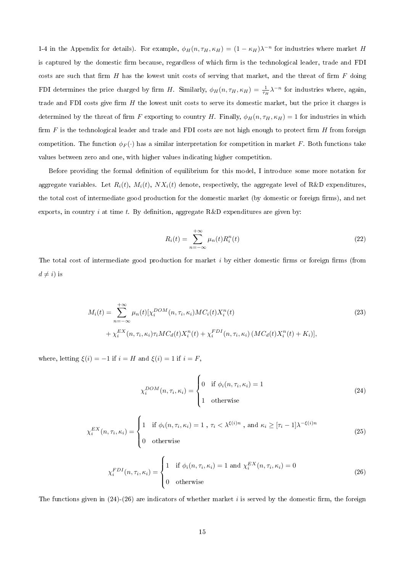1-4 in the Appendix for details). For example,  $\phi_H(n, \tau_H, \kappa_H) = (1 - \kappa_H)\lambda^{-n}$  for industries where market H is captured by the domestic firm because, regardless of which firm is the technological leader, trade and FDI costs are such that firm H has the lowest unit costs of serving that market, and the threat of firm  $F$  doing FDI determines the price charged by firm H. Similarly,  $\phi_H(n, \tau_H, \kappa_H) = \frac{1}{\tau_H} \lambda^{-n}$  for industries where, again, trade and FDI costs give firm  $H$  the lowest unit costs to serve its domestic market, but the price it charges is determined by the threat of firm F exporting to country H. Finally,  $\phi_H(n, \tau_H, \kappa_H) = 1$  for industries in which firm  $F$  is the technological leader and trade and FDI costs are not high enough to protect firm  $H$  from foreign competition. The function  $\phi_F(\cdot)$  has a similar interpretation for competition in market F. Both functions take values between zero and one, with higher values indicating higher competition.

Before providing the formal definition of equilibrium for this model, I introduce some more notation for aggregate variables. Let  $R_i(t)$ ,  $M_i(t)$ ,  $NX_i(t)$  denote, respectively, the aggregate level of R&D expenditures, the total cost of intermediate good production for the domestic market (by domestic or foreign firms), and net exports, in country i at time t. By definition, aggregate  $R&D$  expenditures are given by:

$$
R_i(t) = \sum_{n = -\infty}^{+\infty} \mu_n(t) R_i^n(t)
$$
\n(22)

The total cost of intermediate good production for market  $i$  by either domestic firms or foreign firms (from  $d \neq i$ ) is

$$
M_i(t) = \sum_{n = -\infty}^{+\infty} \mu_n(t) [\chi_i^{DOM}(n, \tau_i, \kappa_i) MC_i(t) X_i^n(t) + \chi_i^{EX}(n, \tau_i, \kappa_i) \tau_i MC_d(t) X_i^n(t) + \chi_i^{FDI}(n, \tau_i, \kappa_i) (MC_d(t) X_i^n(t) + K_i)],
$$
\n(23)

where, letting  $\xi(i) = -1$  if  $i = H$  and  $\xi(i) = 1$  if  $i = F$ ,

$$
\chi_i^{DOM}(n, \tau_i, \kappa_i) = \begin{cases} 0 & \text{if } \phi_i(n, \tau_i, \kappa_i) = 1 \\ 1 & \text{otherwise} \end{cases}
$$
 (24)

$$
\chi_i^{EX}(n, \tau_i, \kappa_i) = \begin{cases} 1 & \text{if } \phi_i(n, \tau_i, \kappa_i) = 1 \text{ , } \tau_i < \lambda^{\xi(i)n} \text{ , and } \kappa_i \geq [\tau_i - 1] \lambda^{-\xi(i)n} \\ 0 & \text{otherwise} \end{cases} \tag{25}
$$

$$
\chi_i^{FDI}(n, \tau_i, \kappa_i) = \begin{cases} 1 & \text{if } \phi_i(n, \tau_i, \kappa_i) = 1 \text{ and } \chi_i^{EX}(n, \tau_i, \kappa_i) = 0\\ 0 & \text{otherwise} \end{cases}
$$
(26)

The functions given in  $(24)-(26)$  are indicators of whether market i is served by the domestic firm, the foreign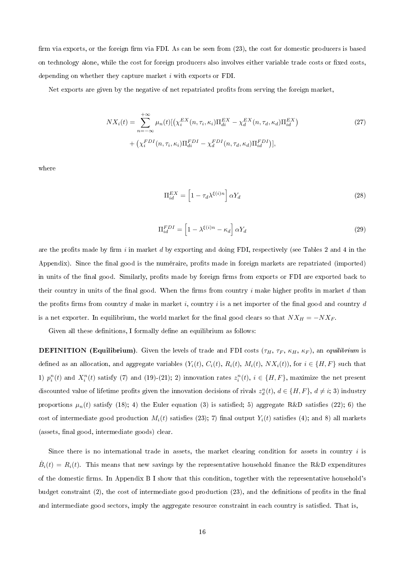firm via exports, or the foreign firm via FDI. As can be seen from (23), the cost for domestic producers is based on technology alone, while the cost for foreign producers also involves either variable trade costs or fixed costs, depending on whether they capture market  $i$  with exports or FDI.

Net exports are given by the negative of net repatriated profits from serving the foreign market.

$$
NX_i(t) = \sum_{n = -\infty}^{+\infty} \mu_n(t) \left[ \left( \chi_i^{EX}(n, \tau_i, \kappa_i) \Pi_{di}^{EX} - \chi_d^{EX}(n, \tau_d, \kappa_d) \Pi_{id}^{EX} \right) + \left( \chi_i^{FDI}(n, \tau_i, \kappa_i) \Pi_{di}^{FDI} - \chi_d^{FDI}(n, \tau_d, \kappa_d) \Pi_{id}^{FDI} \right) \right],
$$
\n(27)

where

$$
\Pi_{id}^{EX} = \left[1 - \tau_d \lambda^{\xi(i)n}\right] \alpha Y_d \tag{28}
$$

$$
\Pi_{id}^{FDI} = \left[1 - \lambda^{\xi(i)n} - \kappa_d\right] \alpha Y_d \tag{29}
$$

are the profits made by firm i in market d by exporting and doing FDI, respectively (see Tables 2 and 4 in the Appendix). Since the final good is the numéraire, profits made in foreign markets are repatriated (imported) in units of the final good. Similarly, profits made by foreign firms from exports or FDI are exported back to their country in units of the final good. When the firms from country i make higher profits in market  $d$  than the profits firms from country d make in market i, country i is a net importer of the final good and country d is a net exporter. In equilibrium, the world market for the final good clears so that  $NX_H = -NX_F$ .

Given all these definitions, I formally define an equilibrium as follows:

**DEFINITION** (Equilibrium). Given the levels of trade and FDI costs ( $\tau_H$ ,  $\tau_F$ ,  $\kappa_H$ ,  $\kappa_F$ ), an equilibrium is defined as an allocation, and aggregate variables  $(Y_i(t), C_i(t), R_i(t), M_i(t), N X_i(t))$ , for  $i \in \{H, F\}$  such that 1)  $p_i^n(t)$  and  $X_i^n(t)$  satisfy (7) and (19)-(21); 2) innovation rates  $z_i^n(t)$ ,  $i \in \{H, F\}$ , maximize the net present discounted value of lifetime profits given the innovation decisions of rivals  $z_d^n(t)$ ,  $d \in \{H, F\}$ ,  $d \neq i$ ; 3) industry proportions  $\mu_n(t)$  satisfy (18); 4) the Euler equation (3) is satisfied; 5) aggregate R&D satisfies (22); 6) the cost of intermediate good production  $M_i(t)$  satisfies (23); 7) final output  $Y_i(t)$  satisfies (4); and 8) all markets (assets, final good, intermediate goods) clear.

Since there is no international trade in assets, the market clearing condition for assets in country  $i$  is  $\dot{B}_{i}(t) = R_{i}(t)$ . This means that new savings by the representative household finance the R&D expenditures of the domestic rms. In Appendix B I show that this condition, together with the representative household's budget constraint  $(2)$ , the cost of intermediate good production  $(23)$ , and the definitions of profits in the final and intermediate good sectors, imply the aggregate resource constraint in each country is satisfied. That is,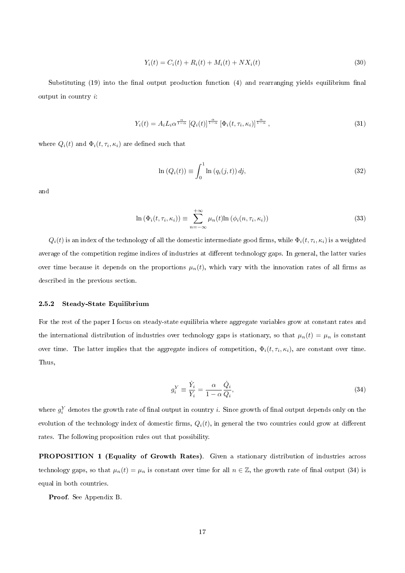$$
Y_i(t) = C_i(t) + R_i(t) + M_i(t) + N X_i(t)
$$
\n(30)

Substituting  $(19)$  into the final output production function  $(4)$  and rearranging yields equilibrium final output in country i:

$$
Y_i(t) = A_i L_i \alpha^{\frac{\alpha}{1-\alpha}} \left[ Q_i(t) \right]^{\frac{\alpha}{1-\alpha}} \left[ \Phi_i(t, \tau_i, \kappa_i) \right]^{\frac{\alpha}{1-\alpha}}, \tag{31}
$$

where  $Q_i(t)$  and  $\Phi_i(t,\tau_i,\kappa_i)$  are defined such that

$$
\ln\left(Q_i(t)\right) \equiv \int_0^1 \ln\left(q_i(j,t)\right) dj,\tag{32}
$$

and

$$
\ln (\Phi_i(t, \tau_i, \kappa_i)) \equiv \sum_{n = -\infty}^{+\infty} \mu_n(t) \ln (\phi_i(n, \tau_i, \kappa_i))
$$
\n(33)

 $Q_i(t)$  is an index of the technology of all the domestic intermediate good firms, while  $\Phi_i(t,\tau_i,\kappa_i)$  is a weighted average of the competition regime indices of industries at different technology gaps. In general, the latter varies over time because it depends on the proportions  $\mu_n(t)$ , which vary with the innovation rates of all firms as described in the previous section.

#### 2.5.2 Steady-State Equilibrium

For the rest of the paper I focus on steady-state equilibria where aggregate variables grow at constant rates and the international distribution of industries over technology gaps is stationary, so that  $\mu_n(t) = \mu_n$  is constant over time. The latter implies that the aggregate indices of competition,  $\Phi_i(t,\tau_i,\kappa_i)$ , are constant over time. Thus,

$$
g_i^Y \equiv \frac{\dot{Y}_i}{Y_i} = \frac{\alpha}{1 - \alpha} \frac{\dot{Q}_i}{Q_i},\tag{34}
$$

where  $g_i^Y$  denotes the growth rate of final output in country  $i.$  Since growth of final output depends only on the evolution of the technology index of domestic firms,  $Q_i(t)$ , in general the two countries could grow at different rates. The following proposition rules out that possibility.

PROPOSITION 1 (Equality of Growth Rates). Given a stationary distribution of industries across technology gaps, so that  $\mu_n(t) = \mu_n$  is constant over time for all  $n \in \mathbb{Z}$ , the growth rate of final output (34) is equal in both countries.

Proof. See Appendix B.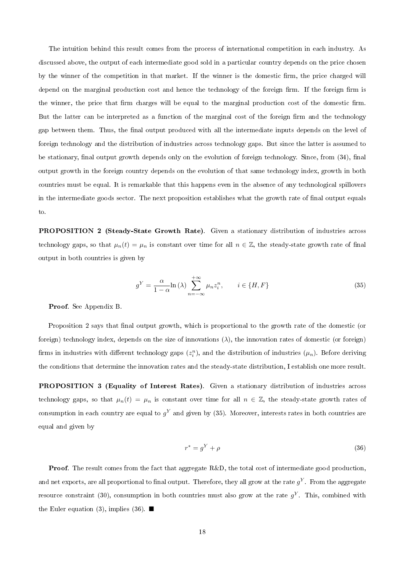The intuition behind this result comes from the process of international competition in each industry. As discussed above, the output of each intermediate good sold in a particular country depends on the price chosen by the winner of the competition in that market. If the winner is the domestic firm, the price charged will depend on the marginal production cost and hence the technology of the foreign firm. If the foreign firm is the winner, the price that firm charges will be equal to the marginal production cost of the domestic firm. But the latter can be interpreted as a function of the marginal cost of the foreign firm and the technology gap between them. Thus, the final output produced with all the intermediate inputs depends on the level of foreign technology and the distribution of industries across technology gaps. But since the latter is assumed to be stationary, final output growth depends only on the evolution of foreign technology. Since, from (34), final output growth in the foreign country depends on the evolution of that same technology index, growth in both countries must be equal. It is remarkable that this happens even in the absence of any technological spillovers in the intermediate goods sector. The next proposition establishes what the growth rate of final output equals to.

PROPOSITION 2 (Steady-State Growth Rate). Given a stationary distribution of industries across technology gaps, so that  $\mu_n(t) = \mu_n$  is constant over time for all  $n \in \mathbb{Z}$ , the steady-state growth rate of final output in both countries is given by

$$
g^{Y} = \frac{\alpha}{1 - \alpha} \ln(\lambda) \sum_{n = -\infty}^{+\infty} \mu_n z_i^n, \qquad i \in \{H, F\}
$$
\n(35)

Proof. See Appendix B.

Proposition 2 says that final output growth, which is proportional to the growth rate of the domestic (or foreign) technology index, depends on the size of innovations  $(\lambda)$ , the innovation rates of domestic (or foreign) firms in industries with different technology gaps  $(z_i^n)$ , and the distribution of industries  $(\mu_n)$ . Before deriving the conditions that determine the innovation rates and the steady-state distribution, I establish one more result.

PROPOSITION 3 (Equality of Interest Rates). Given a stationary distribution of industries across technology gaps, so that  $\mu_n(t) = \mu_n$  is constant over time for all  $n \in \mathbb{Z}$ , the steady-state growth rates of consumption in each country are equal to  $g^Y$  and given by (35). Moreover, interests rates in both countries are equal and given by

$$
r^* = g^Y + \rho \tag{36}
$$

**Proof.** The result comes from the fact that aggregate R&D, the total cost of intermediate good production, and net exports, are all proportional to final output. Therefore, they all grow at the rate  $g^Y$ . From the aggregate resource constraint (30), consumption in both countries must also grow at the rate  $g^Y$ . This, combined with the Euler equation (3), implies (36).  $\blacksquare$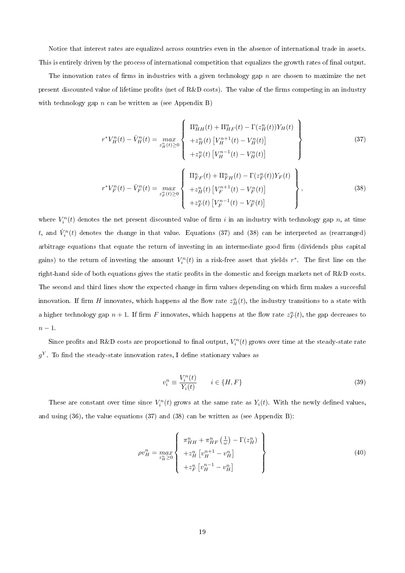Notice that interest rates are equalized across countries even in the absence of international trade in assets. This is entirely driven by the process of international competition that equalizes the growth rates of final output.

The innovation rates of firms in industries with a given technology gap  $n$  are chosen to maximize the net present discounted value of lifetime profits (net of R&D costs). The value of the firms competing in an industry with technology gap  $n$  can be written as (see Appendix B)

$$
r^*V_H^n(t) - \dot{V}_H^n(t) = \max_{z_H^n(t) \ge 0} \left\{ \begin{array}{l} \Pi_{HH}^n(t) + \Pi_{HF}^n(t) - \Gamma(z_H^n(t))Y_H(t) \\ + z_H^n(t) \left[V_H^{n+1}(t) - V_H^n(t)\right] \\ + z_F^n(t) \left[V_H^{n-1}(t) - V_H^n(t)\right] \end{array} \right\}
$$
(37)

$$
r^*V_F^n(t) - \dot{V}_F^n(t) = \max_{z_F^n(t) \ge 0} \left\{ \begin{array}{l} \Pi_{FF}^n(t) + \Pi_{FH}^n(t) - \Gamma(z_F^n(t))Y_F(t) \\ + z_H^n(t) \left[V_F^{n+1}(t) - V_F^n(t)\right] \\ + z_F^n(t) \left[V_F^{n-1}(t) - V_F^n(t)\right] \end{array} \right\},
$$
(38)

where  $V_i^n(t)$  denotes the net present discounted value of firm i in an industry with technology gap n, at time t, and  $\dot{V}_i^n(t)$  denotes the change in that value. Equations (37) and (38) can be interpreted as (rearranged) arbitrage equations that equate the return of investing in an intermediate good firm (dividends plus capital) gains) to the return of investing the amount  $V_i^n(t)$  in a risk-free asset that yields  $r^*$ . The first line on the right-hand side of both equations gives the static profits in the domestic and foreign markets net of R&D costs. The second and third lines show the expected change in firm values depending on which firm makes a succesful innovation. If firm  $H$  innovates, which happens al the flow rate  $z_H^n(t)$ , the industry transitions to a state with a higher technology gap  $n + 1$ . If firm F innovates, which happens at the flow rate  $z_F^n(t)$ , the gap decreases to  $n-1$ .

Since profits and R&D costs are proportional to final output,  $V_i^n(t)$  grows over time at the steady-state rate  $g^Y$ . To find the steady-state innovation rates, I define stationary values as

$$
v_i^n \equiv \frac{V_i^n(t)}{Y_i(t)} \qquad i \in \{H, F\} \tag{39}
$$

These are constant over time since  $V_i^n(t)$  grows at the same rate as  $Y_i(t)$ . With the newly defined values, and using  $(36)$ , the value equations  $(37)$  and  $(38)$  can be written as (see Appendix B):

$$
\rho v_H^n = \max_{z_H^n \ge 0} \left\{ \begin{array}{l} \pi_{HH}^n + \pi_{HF}^n \left( \frac{1}{\omega} \right) - \Gamma(z_H^n) \\ + z_H^n \left[ v_H^{n+1} - v_H^n \right] \\ + z_F^n \left[ v_H^{n-1} - v_H^n \right] \end{array} \right\} \tag{40}
$$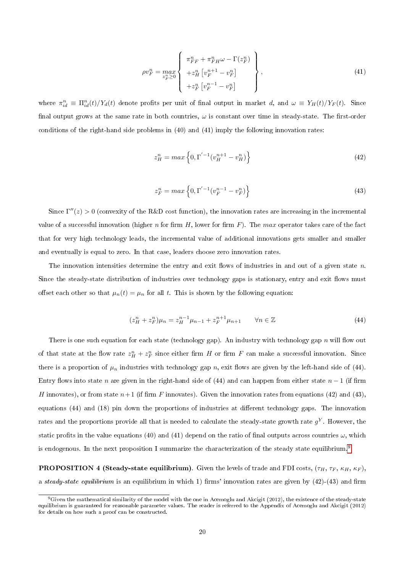$$
\rho v_F^n = \max_{z_F^n \ge 0} \left\{ \begin{array}{l} \pi_{FF}^n + \pi_{FH}^n \omega - \Gamma(z_F^n) \\ + z_H^n \left[ v_F^{n+1} - v_F^n \right] \\ + z_F^n \left[ v_F^{n-1} - v_F^n \right] \end{array} \right\},
$$
\n(41)

where  $\pi_{id}^n \equiv \Pi_{id}^n(t)/Y_d(t)$  denote profits per unit of final output in market d, and  $\omega \equiv Y_H(t)/Y_F(t)$ . Since final output grows at the same rate in both countries,  $\omega$  is constant over time in steady-state. The first-order conditions of the right-hand side problems in (40) and (41) imply the following innovation rates:

$$
z_H^n = \max\left\{0, \Gamma^{'-1}(v_H^{n+1} - v_H^n)\right\} \tag{42}
$$

$$
z_F^n = \max\left\{0, \Gamma^{'-1}(v_F^{n-1} - v_F^n)\right\} \tag{43}
$$

Since  $\Gamma''(z) > 0$  (convexity of the R&D cost function), the innovation rates are increasing in the incremental value of a successful innovation (higher n for firm  $H$ , lower for firm  $F$ ). The max operator takes care of the fact that for very high technology leads, the incremental value of additional innovations gets smaller and smaller and eventually is equal to zero. In that case, leaders choose zero innovation rates.

The innovation intensities determine the entry and exit flows of industries in and out of a given state  $n$ . Since the steady-state distribution of industries over technology gaps is stationary, entry and exit flows must offset each other so that  $\mu_n(t) = \mu_n$  for all t. This is shown by the following equation:

$$
(z_H^n + z_F^n)\mu_n = z_H^{n-1}\mu_{n-1} + z_F^{n+1}\mu_{n+1} \qquad \forall n \in \mathbb{Z}
$$
\n(44)

There is one such equation for each state (technology gap). An industry with technology gap n will flow out of that state at the flow rate  $z_H^n + z_F^n$  since either firm H or firm F can make a successful innovation. Since there is a proportion of  $\mu_n$  industries with technology gap n, exit flows are given by the left-hand side of (44). Entry flows into state n are given in the right-hand side of (44) and can happen from either state  $n-1$  (if firm H innovates), or from state  $n+1$  (if firm F innovates). Given the innovation rates from equations (42) and (43), equations (44) and (18) pin down the proportions of industries at different technology gaps. The innovation rates and the proportions provide all that is needed to calculate the steady-state growth rate  $g^Y$ . However, the static profits in the value equations (40) and (41) depend on the ratio of final outputs across countries  $\omega$ , which is endogenous. In the next proposition I summarize the characterization of the steady state equilibrium.<sup>[9](#page-1-0)</sup>

**PROPOSITION 4 (Steady-state equilibrium)**. Given the levels of trade and FDI costs,  $(\tau_H, \tau_F, \kappa_H, \kappa_F)$ , a steady-state equilibrium is an equilibrium in which 1) firms' innovation rates are given by  $(42)$ - $(43)$  and firm

 $9$ Given the mathematical similarity of the model with the one in Acemoglu and Akcigit (2012), the existence of the steady-state equilibrium is guaranteed for reasonable parameter values. The reader is referred to the Appendix of Acemoglu and Akcigit (2012) for details on how such a proof can be constructed.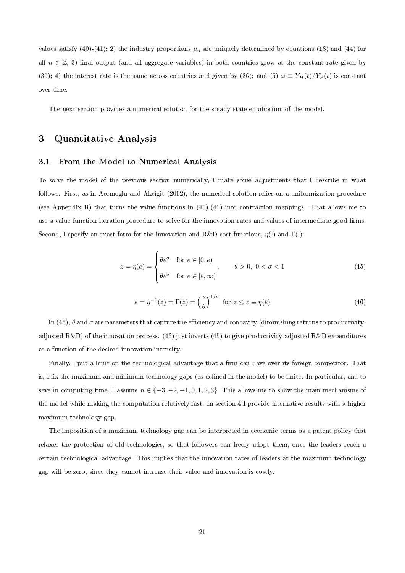values satisfy (40)-(41); 2) the industry proportions  $\mu_n$  are uniquely determined by equations (18) and (44) for all  $n \in \mathbb{Z}$ ; 3) final output (and all aggregate variables) in both countries grow at the constant rate given by (35); 4) the interest rate is the same across countries and given by (36); and (5)  $\omega \equiv Y_H(t)/Y_F(t)$  is constant over time.

The next section provides a numerical solution for the steady-state equilibrium of the model.

## 3 Quantitative Analysis

#### 3.1 From the Model to Numerical Analysis

To solve the model of the previous section numerically, I make some adjustments that I describe in what follows. First, as in Acemoglu and Akcigit (2012), the numerical solution relies on a uniformization procedure (see Appendix B) that turns the value functions in (40)-(41) into contraction mappings. That allows me to use a value function iteration procedure to solve for the innovation rates and values of intermediate good firms. Second, I specify an exact form for the innovation and R&D cost functions,  $\eta(\cdot)$  and  $\Gamma(\cdot)$ :

$$
z = \eta(e) = \begin{cases} \theta e^{\sigma} & \text{for } e \in [0, \bar{e}) \\ \theta \bar{e}^{\sigma} & \text{for } e \in [\bar{e}, \infty) \end{cases}, \qquad \theta > 0, \ 0 < \sigma < 1 \tag{45}
$$

$$
e = \eta^{-1}(z) = \Gamma(z) = \left(\frac{z}{\theta}\right)^{1/\sigma} \text{ for } z \le \bar{z} \equiv \eta(\bar{e})
$$
\n(46)

In (45),  $\theta$  and  $\sigma$  are parameters that capture the efficiency and concavity (diminishing returns to productivityadjusted  $R\&D$ ) of the innovation process. (46) just inverts (45) to give productivity-adjusted  $R\&D$  expenditures as a function of the desired innovation intensity.

Finally, I put a limit on the technological advantage that a firm can have over its foreign competitor. That is, I fix the maximum and minimum technology gaps (as defined in the model) to be finite. In particular, and to save in computing time, I assume  $n \in \{-3, -2, -1, 0, 1, 2, 3\}$ . This allows me to show the main mechanisms of the model while making the computation relatively fast. In section 4 I provide alternative results with a higher maximum technology gap.

The imposition of a maximum technology gap can be interpreted in economic terms as a patent policy that relaxes the protection of old technologies, so that followers can freely adopt them, once the leaders reach a certain technological advantage. This implies that the innovation rates of leaders at the maximum technology gap will be zero, since they cannot increase their value and innovation is costly.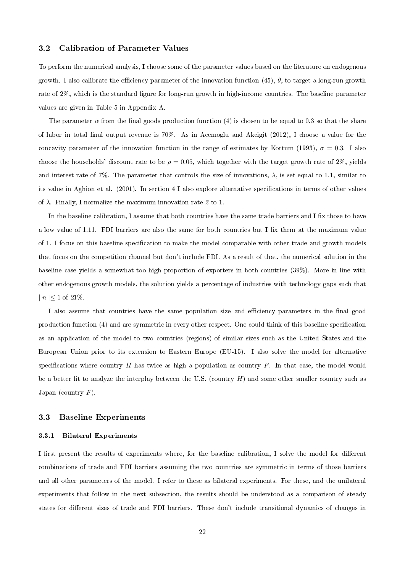#### 3.2 Calibration of Parameter Values

To perform the numerical analysis, I choose some of the parameter values based on the literature on endogenous growth. I also calibrate the efficiency parameter of the innovation function (45),  $\theta$ , to target a long-run growth rate of 2%, which is the standard figure for long-run growth in high-income countries. The baseline parameter values are given in Table 5 in Appendix A.

The parameter  $\alpha$  from the final goods production function (4) is chosen to be equal to 0.3 so that the share of labor in total final output revenue is  $70\%$ . As in Acemoglu and Akcigit (2012), I choose a value for the concavity parameter of the innovation function in the range of estimates by Kortum (1993),  $\sigma = 0.3$ . I also choose the households' discount rate to be  $\rho = 0.05$ , which together with the target growth rate of 2%, yields and interest rate of 7%. The parameter that controls the size of innovations,  $\lambda$ , is set equal to 1.1, similar to its value in Aghion et al. (2001). In section 4 I also explore alternative specifications in terms of other values of  $\lambda$ . Finally, I normalize the maximum innovation rate  $\bar{z}$  to 1.

In the baseline calibration, I assume that both countries have the same trade barriers and I fix those to have a low value of 1.11. FDI barriers are also the same for both countries but I fix them at the maximum value of 1. I focus on this baseline specification to make the model comparable with other trade and growth models that focus on the competition channel but don't include FDI. As a result of that, the numerical solution in the baseline case yields a somewhat too high proportion of exporters in both countries (39%). More in line with other endogenous growth models, the solution yields a percentage of industries with technology gaps such that  $| n \nvert < 1$  of  $21\%$ .

I also assume that countries have the same population size and efficiency parameters in the final good production function (4) and are symmetric in every other respect. One could think of this baseline specification as an application of the model to two countries (regions) of similar sizes such as the United States and the European Union prior to its extension to Eastern Europe (EU-15). I also solve the model for alternative specifications where country  $H$  has twice as high a population as country  $F$ . In that case, the model would be a better fit to analyze the interplay between the U.S. (country  $H$ ) and some other smaller country such as Japan (country  $F$ ).

#### 3.3 Baseline Experiments

#### 3.3.1 Bilateral Experiments

I first present the results of experiments where, for the baseline calibration, I solve the model for different combinations of trade and FDI barriers assuming the two countries are symmetric in terms of those barriers and all other parameters of the model. I refer to these as bilateral experiments. For these, and the unilateral experiments that follow in the next subsection, the results should be understood as a comparison of steady states for different sizes of trade and FDI barriers. These don't include transitional dynamics of changes in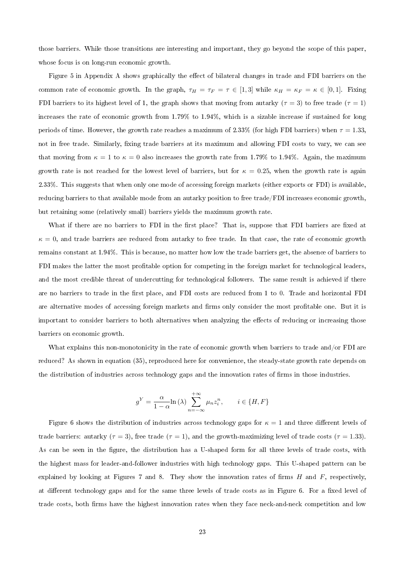those barriers. While those transitions are interesting and important, they go beyond the scope of this paper, whose focus is on long-run economic growth.

Figure 5 in Appendix A shows graphically the effect of bilateral changes in trade and FDI barriers on the common rate of economic growth. In the graph,  $\tau_H = \tau_F = \tau \in [1,3]$  while  $\kappa_H = \kappa_F = \kappa \in [0,1]$ . Fixing FDI barriers to its highest level of 1, the graph shows that moving from autarky ( $\tau = 3$ ) to free trade ( $\tau = 1$ ) increases the rate of economic growth from 1.79% to 1.94%, which is a sizable increase if sustained for long periods of time. However, the growth rate reaches a maximum of 2.33% (for high FDI barriers) when  $\tau = 1.33$ , not in free trade. Similarly, fixing trade barriers at its maximum and allowing FDI costs to vary, we can see that moving from  $\kappa = 1$  to  $\kappa = 0$  also increases the growth rate from 1.79% to 1.94%. Again, the maximum growth rate is not reached for the lowest level of barriers, but for  $\kappa = 0.25$ , when the growth rate is again 2.33%. This suggests that when only one mode of accessing foreign markets (either exports or FDI) is available, reducing barriers to that available mode from an autarky position to free trade/FDI increases economic growth, but retaining some (relatively small) barriers yields the maximum growth rate.

What if there are no barriers to FDI in the first place? That is, suppose that FDI barriers are fixed at  $\kappa = 0$ , and trade barriers are reduced from autarky to free trade. In that case, the rate of economic growth remains constant at 1.94%. This is because, no matter how low the trade barriers get, the absence of barriers to FDI makes the latter the most profitable option for competing in the foreign market for technological leaders, and the most credible threat of undercutting for technological followers. The same result is achieved if there are no barriers to trade in the first place, and FDI costs are reduced from 1 to 0. Trade and horizontal FDI are alternative modes of accessing foreign markets and firms only consider the most profitable one. But it is important to consider barriers to both alternatives when analyzing the effects of reducing or increasing those barriers on economic growth.

What explains this non-monotonicity in the rate of economic growth when barriers to trade and/or FDI are reduced? As shown in equation (35), reproduced here for convenience, the steady-state growth rate depends on the distribution of industries across technology gaps and the innovation rates of firms in those industries.

$$
g^{Y} = \frac{\alpha}{1 - \alpha} \ln(\lambda) \sum_{n = -\infty}^{+\infty} \mu_n z_i^n, \qquad i \in \{H, F\}
$$

Figure 6 shows the distribution of industries across technology gaps for  $\kappa = 1$  and three different levels of trade barriers: autarky ( $\tau = 3$ ), free trade ( $\tau = 1$ ), and the growth-maximizing level of trade costs ( $\tau = 1.33$ ). As can be seen in the figure, the distribution has a U-shaped form for all three levels of trade costs, with the highest mass for leader-and-follower industries with high technology gaps. This U-shaped pattern can be explained by looking at Figures 7 and 8. They show the innovation rates of firms  $H$  and  $F$ , respectively, at different technology gaps and for the same three levels of trade costs as in Figure 6. For a fixed level of trade costs, both firms have the highest innovation rates when they face neck-and-neck competition and low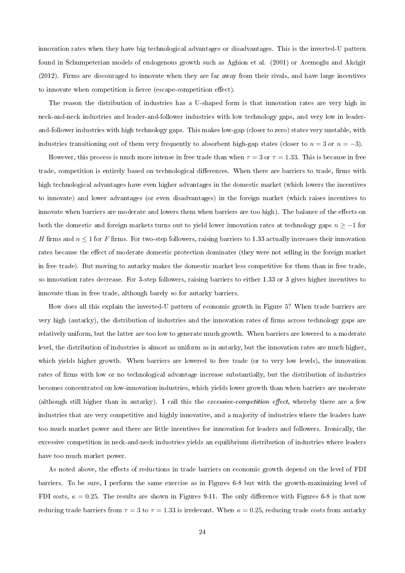innovation rates when they have big technological advantages or disadvantages. This is the inverted-U pattern found in Schumpeterian models of endogenous growth such as Aghion et al. (2001) or Acemoglu and Akcigit (2012). Firms are discouraged to innovate when they are far away from their rivals, and have large incentives to innovate when competition is fierce (escape-competition effect).

The reason the distribution of industries has a U-shaped form is that innovation rates are very high in neck-and-neck industries and leader-and-follower industries with low technology gaps, and very low in leaderand-follower industries with high technology gaps. This makes low-gap (closer to zero) states very unstable, with industries transitioning out of them very frequently to absorbent high-gap states (closer to  $n = 3$  or  $n = -3$ ).

However, this process is much more intense in free trade than when  $\tau = 3$  or  $\tau = 1.33$ . This is because in free trade, competition is entirely based on technological differences. When there are barriers to trade, firms with high technological advantages have even higher advantages in the domestic market (which lowers the incentives to innovate) and lower advantages (or even disadvantages) in the foreign market (which raises incentives to innovate when barriers are moderate and lowers them when barriers are too high). The balance of the effects on both the domestic and foreign markets turns out to yield lower innovation rates at technology gaps  $n \ge -1$  for H firms and  $n \leq 1$  for F firms. For two-step followers, raising barriers to 1.33 actually increases their innovation rates because the effect of moderate domestic protection dominates (they were not selling in the foreign market in free trade). But moving to autarky makes the domestic market less competitive for them than in free trade, so innovation rates decrease. For 3-step followers, raising barriers to either 1.33 or 3 gives higher incentives to innovate than in free trade, although barely so for autarky barriers.

How does all this explain the inverted-U pattern of economic growth in Figure 5? When trade barriers are very high (autarky), the distribution of industries and the innovation rates of firms across technology gaps are relatively uniform, but the latter are too low to generate much growth. When barriers are lowered to a moderate level, the distribution of industries is almost as uniform as in autarky, but the innovation rates are much higher, which yields higher growth. When barriers are lowered to free trade (or to very low levels), the innovation rates of firms with low or no technological advantage increase substantially, but the distribution of industries becomes concentrated on low-innovation industries, which yields lower growth than when barriers are moderate (although still higher than in autarky). I call this the excessive-competition effect, whereby there are a few industries that are very competitive and highly innovative, and a majority of industries where the leaders have too much market power and there are little incentives for innovation for leaders and followers. Ironically, the excessive competition in neck-and-neck industries yields an equilibrium distribution of industries where leaders have too much market power.

As noted above, the effects of reductions in trade barriers on economic growth depend on the level of FDI barriers. To be sure, I perform the same exercise as in Figures 6-8 but with the growth-maximizing level of FDI costs,  $\kappa = 0.25$ . The results are shown in Figures 9-11. The only difference with Figures 6-8 is that now reducing trade barriers from  $\tau = 3$  to  $\tau = 1.33$  is irrelevant. When  $\kappa = 0.25$ , reducing trade costs from autarky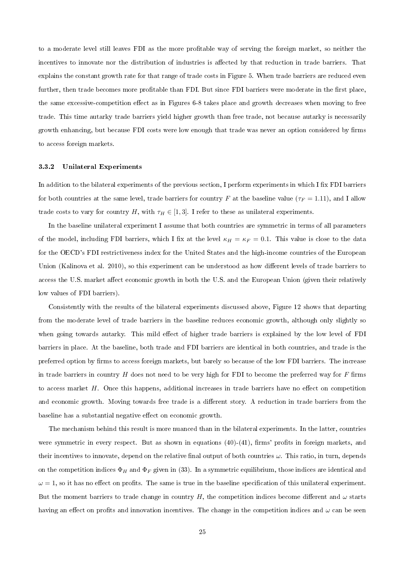to a moderate level still leaves FDI as the more profitable way of serving the foreign market, so neither the incentives to innovate nor the distribution of industries is affected by that reduction in trade barriers. That explains the constant growth rate for that range of trade costs in Figure 5. When trade barriers are reduced even further, then trade becomes more profitable than FDI. But since FDI barriers were moderate in the first place, the same excessive-competition effect as in Figures 6-8 takes place and growth decreases when moving to free trade. This time autarky trade barriers yield higher growth than free trade, not because autarky is necessarily growth enhancing, but because FDI costs were low enough that trade was never an option considered by firms to access foreign markets.

#### 3.3.2 Unilateral Experiments

In addition to the bilateral experiments of the previous section, I perform experiments in which I fix FDI barriers for both countries at the same level, trade barriers for country F at the baseline value ( $\tau_F = 1.11$ ), and I allow trade costs to vary for country H, with  $\tau_H \in [1, 3]$ . I refer to these as unilateral experiments.

In the baseline unilateral experiment I assume that both countries are symmetric in terms of all parameters of the model, including FDI barriers, which I fix at the level  $\kappa_H = \kappa_F = 0.1$ . This value is close to the data for the OECD's FDI restrictiveness index for the United States and the high-income countries of the European Union (Kalinova et al. 2010), so this experiment can be understood as how different levels of trade barriers to access the U.S. market affect economic growth in both the U.S. and the European Union (given their relatively low values of FDI barriers).

Consistently with the results of the bilateral experiments discussed above, Figure 12 shows that departing from the moderate level of trade barriers in the baseline reduces economic growth, although only slightly so when going towards autarky. This mild effect of higher trade barriers is explained by the low level of FDI barriers in place. At the baseline, both trade and FDI barriers are identical in both countries, and trade is the preferred option by firms to access foreign markets, but barely so because of the low FDI barriers. The increase in trade barriers in country  $H$  does not need to be very high for FDI to become the preferred way for  $F$  firms to access market  $H$ . Once this happens, additional increases in trade barriers have no effect on competition and economic growth. Moving towards free trade is a different story. A reduction in trade barriers from the baseline has a substantial negative effect on economic growth.

The mechanism behind this result is more nuanced than in the bilateral experiments. In the latter, countries were symmetric in every respect. But as shown in equations  $(40)-(41)$ , firms' profits in foreign markets, and their incentives to innovate, depend on the relative final output of both countries  $\omega$ . This ratio, in turn, depends on the competition indices  $\Phi_H$  and  $\Phi_F$  given in (33). In a symmetric equilibrium, those indices are identical and  $\omega = 1$ , so it has no effect on profits. The same is true in the baseline specification of this unilateral experiment. But the moment barriers to trade change in country H, the competition indices become different and  $\omega$  starts having an effect on profits and innovation incentives. The change in the competition indices and  $\omega$  can be seen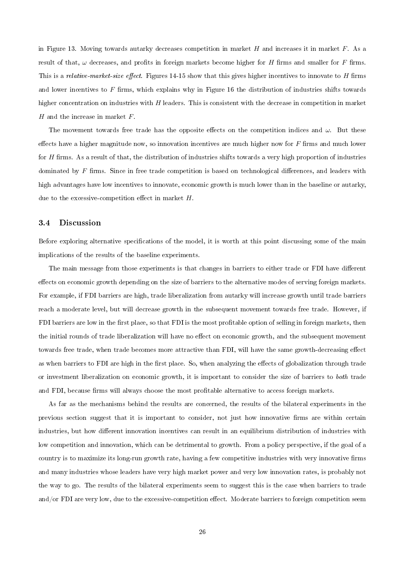in Figure 13. Moving towards autarky decreases competition in market  $H$  and increases it in market  $F$ . As a result of that,  $\omega$  decreases, and profits in foreign markets become higher for H firms and smaller for F firms. This is a relative-market-size effect. Figures 14-15 show that this gives higher incentives to innovate to  $H$  firms and lower incentives to  $F$  firms, which explains why in Figure 16 the distribution of industries shifts towards higher concentration on industries with  $H$  leaders. This is consistent with the decrease in competition in market  $H$  and the increase in market  $F$ .

The movement towards free trade has the opposite effects on the competition indices and  $\omega$ . But these effects have a higher magnitude now, so innovation incentives are much higher now for  $F$  firms and much lower for  $H$  firms. As a result of that, the distribution of industries shifts towards a very high proportion of industries dominated by  $F$  firms. Since in free trade competition is based on technological differences, and leaders with high advantages have low incentives to innovate, economic growth is much lower than in the baseline or autarky, due to the excessive-competition effect in market  $H$ .

#### 3.4 Discussion

Before exploring alternative specifications of the model, it is worth at this point discussing some of the main implications of the results of the baseline experiments.

The main message from those experiments is that changes in barriers to either trade or FDI have different effects on economic growth depending on the size of barriers to the alternative modes of serving foreign markets. For example, if FDI barriers are high, trade liberalization from autarky will increase growth until trade barriers reach a moderate level, but will decrease growth in the subsequent movement towards free trade. However, if FDI barriers are low in the first place, so that FDI is the most profitable option of selling in foreign markets, then the initial rounds of trade liberalization will have no effect on economic growth, and the subsequent movement towards free trade, when trade becomes more attractive than FDI, will have the same growth-decreasing effect as when barriers to FDI are high in the first place. So, when analyzing the effects of globalization through trade or investment liberalization on economic growth, it is important to consider the size of barriers to both trade and FDI, because firms will always choose the most profitable alternative to access foreign markets.

As far as the mechanisms behind the results are concerned, the results of the bilateral experiments in the previous section suggest that it is important to consider, not just how innovative firms are within certain industries, but how different innovation incentives can result in an equilibrium distribution of industries with low competition and innovation, which can be detrimental to growth. From a policy perspective, if the goal of a country is to maximize its long-run growth rate, having a few competitive industries with very innovative firms and many industries whose leaders have very high market power and very low innovation rates, is probably not the way to go. The results of the bilateral experiments seem to suggest this is the case when barriers to trade and/or FDI are very low, due to the excessive-competition effect. Moderate barriers to foreign competition seem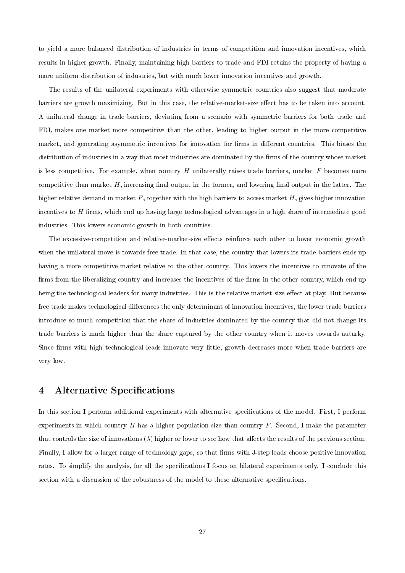to yield a more balanced distribution of industries in terms of competition and innovation incentives, which results in higher growth. Finally, maintaining high barriers to trade and FDI retains the property of having a more uniform distribution of industries, but with much lower innovation incentives and growth.

The results of the unilateral experiments with otherwise symmetric countries also suggest that moderate barriers are growth maximizing. But in this case, the relative-market-size effect has to be taken into account. A unilateral change in trade barriers, deviating from a scenario with symmetric barriers for both trade and FDI, makes one market more competitive than the other, leading to higher output in the more competitive market, and generating asymmetric incentives for innovation for firms in different countries. This biases the distribution of industries in a way that most industries are dominated by the firms of the country whose market is less competitive. For example, when country  $H$  unilaterally raises trade barriers, market  $F$  becomes more competitive than market  $H$ , increasing final output in the former, and lowering final output in the latter. The higher relative demand in market  $F$ , together with the high barriers to access market  $H$ , gives higher innovation incentives to  $H$  firms, which end up having large technological advantages in a high share of intermediate good industries. This lowers economic growth in both countries.

The excessive-competition and relative-market-size effects reinforce each other to lower economic growth when the unilateral move is towards free trade. In that case, the country that lowers its trade barriers ends up having a more competitive market relative to the other country. This lowers the incentives to innovate of the firms from the liberalizing country and increases the incentives of the firms in the other country, which end up being the technological leaders for many industries. This is the relative-market-size effect at play. But because free trade makes technological differences the only determinant of innovation incentives, the lower trade barriers introduce so much competition that the share of industries dominated by the country that did not change its trade barriers is much higher than the share captured by the other country when it moves towards autarky. Since firms with high technological leads innovate very little, growth decreases more when trade barriers are very low.

## 4 Alternative Specifications

In this section I perform additional experiments with alternative specifications of the model. First, I perform experiments in which country  $H$  has a higher population size than country  $F$ . Second, I make the parameter that controls the size of innovations  $(\lambda)$  higher or lower to see how that affects the results of the previous section. Finally, I allow for a larger range of technology gaps, so that firms with 3-step leads choose positive innovation rates. To simplify the analysis, for all the specifications I focus on bilateral experiments only. I conclude this section with a discussion of the robustness of the model to these alternative specifications.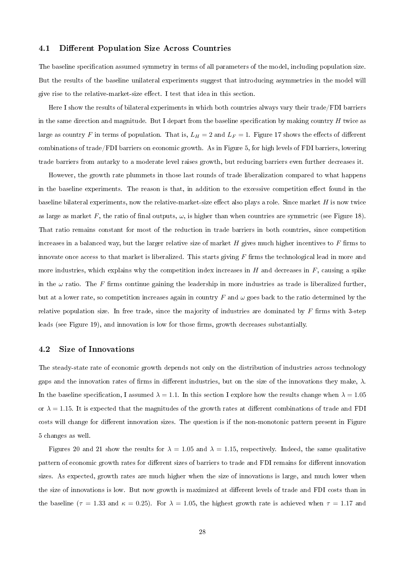#### 4.1 Different Population Size Across Countries

The baseline specification assumed symmetry in terms of all parameters of the model, including population size. But the results of the baseline unilateral experiments suggest that introducing asymmetries in the model will give rise to the relative-market-size effect. I test that idea in this section.

Here I show the results of bilateral experiments in which both countries always vary their trade/FDI barriers in the same direction and magnitude. But I depart from the baseline specification by making country  $H$  twice as large as country F in terms of population. That is,  $L_H = 2$  and  $L_F = 1$ . Figure 17 shows the effects of different combinations of trade/FDI barriers on economic growth. As in Figure 5, for high levels of FDI barriers, lowering trade barriers from autarky to a moderate level raises growth, but reducing barriers even further decreases it.

However, the growth rate plummets in those last rounds of trade liberalization compared to what happens in the baseline experiments. The reason is that, in addition to the excessive competition effect found in the baseline bilateral experiments, now the relative-market-size effect also plays a role. Since market  $H$  is now twice as large as market F, the ratio of final outputs,  $\omega$ , is higher than when countries are symmetric (see Figure 18). That ratio remains constant for most of the reduction in trade barriers in both countries, since competition increases in a balanced way, but the larger relative size of market  $H$  gives much higher incentives to  $F$  firms to innovate once access to that market is liberalized. This starts giving  $F$  firms the technological lead in more and more industries, which explains why the competition index increases in  $H$  and decreases in  $F$ , causing a spike in the  $\omega$  ratio. The F firms continue gaining the leadership in more industries as trade is liberalized further, but at a lower rate, so competition increases again in country F and  $\omega$  goes back to the ratio determined by the relative population size. In free trade, since the majority of industries are dominated by  $F$  firms with 3-step leads (see Figure 19), and innovation is low for those firms, growth decreases substantially.

#### 4.2 Size of Innovations

The steady-state rate of economic growth depends not only on the distribution of industries across technology gaps and the innovation rates of firms in different industries, but on the size of the innovations they make,  $\lambda$ . In the baseline specification, I assumed  $\lambda = 1.1$ . In this section I explore how the results change when  $\lambda = 1.05$ or  $\lambda = 1.15$ . It is expected that the magnitudes of the growth rates at different combinations of trade and FDI costs will change for different innovation sizes. The question is if the non-monotonic pattern present in Figure 5 changes as well.

Figures 20 and 21 show the results for  $\lambda = 1.05$  and  $\lambda = 1.15$ , respectively. Indeed, the same qualitative pattern of economic growth rates for different sizes of barriers to trade and FDI remains for different innovation sizes. As expected, growth rates are much higher when the size of innovations is large, and much lower when the size of innovations is low. But now growth is maximized at different levels of trade and FDI costs than in the baseline ( $\tau = 1.33$  and  $\kappa = 0.25$ ). For  $\lambda = 1.05$ , the highest growth rate is achieved when  $\tau = 1.17$  and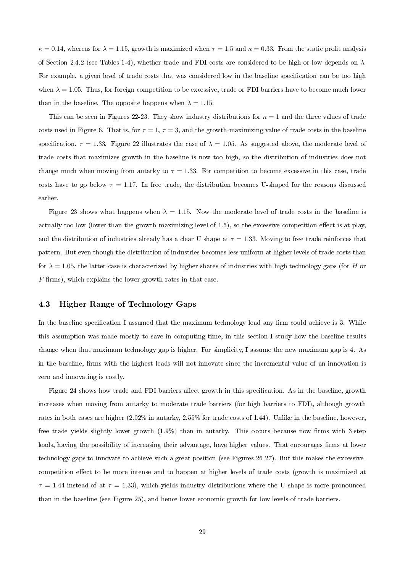$\kappa = 0.14$ , whereas for  $\lambda = 1.15$ , growth is maximized when  $\tau = 1.5$  and  $\kappa = 0.33$ . From the static profit analysis of Section 2.4.2 (see Tables 1-4), whether trade and FDI costs are considered to be high or low depends on  $\lambda$ . For example, a given level of trade costs that was considered low in the baseline specification can be too high when  $\lambda = 1.05$ . Thus, for foreign competition to be excessive, trade or FDI barriers have to become much lower than in the baseline. The opposite happens when  $\lambda = 1.15$ .

This can be seen in Figures 22-23. They show industry distributions for  $\kappa = 1$  and the three values of trade costs used in Figure 6. That is, for  $\tau = 1$ ,  $\tau = 3$ , and the growth-maximizing value of trade costs in the baseline specification,  $\tau = 1.33$ . Figure 22 illustrates the case of  $\lambda = 1.05$ . As suggested above, the moderate level of trade costs that maximizes growth in the baseline is now too high, so the distribution of industries does not change much when moving from autarky to  $\tau = 1.33$ . For competition to become excessive in this case, trade costs have to go below  $\tau = 1.17$ . In free trade, the distribution becomes U-shaped for the reasons discussed earlier.

Figure 23 shows what happens when  $\lambda = 1.15$ . Now the moderate level of trade costs in the baseline is actually too low (lower than the growth-maximizing level of  $1.5$ ), so the excessive-competition effect is at play, and the distribution of industries already has a clear U shape at  $\tau = 1.33$ . Moving to free trade reinforces that pattern. But even though the distribution of industries becomes less uniform at higher levels of trade costs than for  $\lambda = 1.05$ , the latter case is characterized by higher shares of industries with high technology gaps (for H or  $F$  firms), which explains the lower growth rates in that case.

## 4.3 Higher Range of Technology Gaps

In the baseline specification I assumed that the maximum technology lead any firm could achieve is 3. While this assumption was made mostly to save in computing time, in this section I study how the baseline results change when that maximum technology gap is higher. For simplicity, I assume the new maximum gap is 4. As in the baseline, firms with the highest leads will not innovate since the incremental value of an innovation is zero and innovating is costly.

Figure 24 shows how trade and FDI barriers affect growth in this specification. As in the baseline, growth increases when moving from autarky to moderate trade barriers (for high barriers to FDI), although growth rates in both cases are higher (2.02% in autarky, 2.55% for trade costs of 1.44). Unlike in the baseline, however, free trade yields slightly lower growth  $(1.9\%)$  than in autarky. This occurs because now firms with 3-step leads, having the possibility of increasing their advantage, have higher values. That encourages firms at lower technology gaps to innovate to achieve such a great position (see Figures 26-27). But this makes the excessivecompetition effect to be more intense and to happen at higher levels of trade costs (growth is maximized at  $\tau = 1.44$  instead of at  $\tau = 1.33$ , which yields industry distributions where the U shape is more pronounced than in the baseline (see Figure 25), and hence lower economic growth for low levels of trade barriers.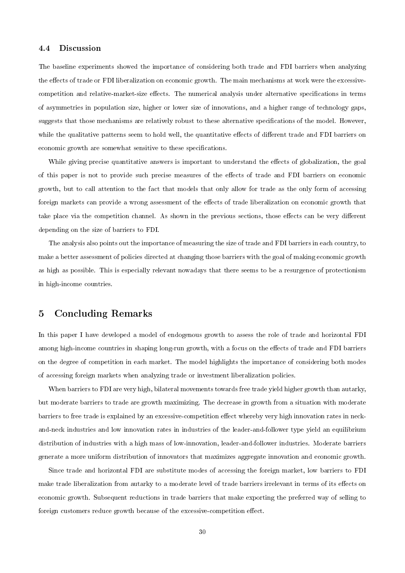#### 4.4 Discussion

The baseline experiments showed the importance of considering both trade and FDI barriers when analyzing the effects of trade or FDI liberalization on economic growth. The main mechanisms at work were the excessivecompetition and relative-market-size effects. The numerical analysis under alternative specifications in terms of asymmetries in population size, higher or lower size of innovations, and a higher range of technology gaps, suggests that those mechanisms are relatively robust to these alternative specifications of the model. However, while the qualitative patterns seem to hold well, the quantitative effects of different trade and FDI barriers on economic growth are somewhat sensitive to these specifications.

While giving precise quantitative answers is important to understand the effects of globalization, the goal of this paper is not to provide such precise measures of the effects of trade and FDI barriers on economic growth, but to call attention to the fact that models that only allow for trade as the only form of accessing foreign markets can provide a wrong assessment of the effects of trade liberalization on economic growth that take place via the competition channel. As shown in the previous sections, those effects can be very different depending on the size of barriers to FDI.

The analysis also points out the importance of measuring the size of trade and FDI barriers in each country, to make a better assessment of policies directed at changing those barriers with the goal of making economic growth as high as possible. This is especially relevant nowadays that there seems to be a resurgence of protectionism in high-income countries.

## 5 Concluding Remarks

In this paper I have developed a model of endogenous growth to assess the role of trade and horizontal FDI among high-income countries in shaping long-run growth, with a focus on the effects of trade and FDI barriers on the degree of competition in each market. The model highlights the importance of considering both modes of accessing foreign markets when analyzing trade or investment liberalization policies.

When barriers to FDI are very high, bilateral movements towards free trade yield higher growth than autarky, but moderate barriers to trade are growth maximizing. The decrease in growth from a situation with moderate barriers to free trade is explained by an excessive-competition effect whereby very high innovation rates in neckand-neck industries and low innovation rates in industries of the leader-and-follower type yield an equilibrium distribution of industries with a high mass of low-innovation, leader-and-follower industries. Moderate barriers generate a more uniform distribution of innovators that maximizes aggregate innovation and economic growth.

Since trade and horizontal FDI are substitute modes of accessing the foreign market, low barriers to FDI make trade liberalization from autarky to a moderate level of trade barriers irrelevant in terms of its effects on economic growth. Subsequent reductions in trade barriers that make exporting the preferred way of selling to foreign customers reduce growth because of the excessive-competition effect.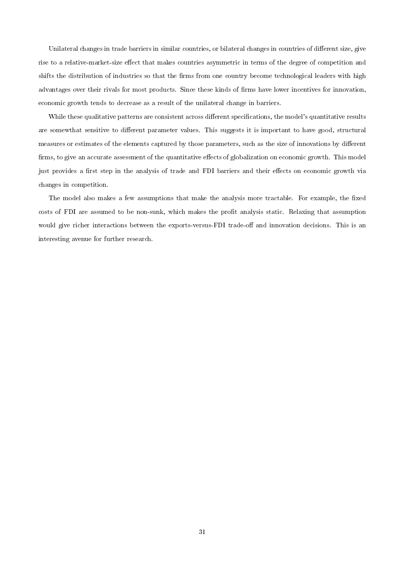Unilateral changes in trade barriers in similar countries, or bilateral changes in countries of different size, give rise to a relative-market-size effect that makes countries asymmetric in terms of the degree of competition and shifts the distribution of industries so that the firms from one country become technological leaders with high advantages over their rivals for most products. Since these kinds of firms have lower incentives for innovation, economic growth tends to decrease as a result of the unilateral change in barriers.

While these qualitative patterns are consistent across different specifications, the model's quantitative results are somewthat sensitive to different parameter values. This suggests it is important to have good, structural measures or estimates of the elements captured by those parameters, such as the size of innovations by different firms, to give an accurate assessment of the quantitative effects of globalization on economic growth. This model just provides a first step in the analysis of trade and FDI barriers and their effects on economic growth via changes in competition.

The model also makes a few assumptions that make the analysis more tractable. For example, the fixed costs of FDI are assumed to be non-sunk, which makes the profit analysis static. Relaxing that assumption would give richer interactions between the exports-versus-FDI trade-off and innovation decisions. This is an interesting avenue for further research.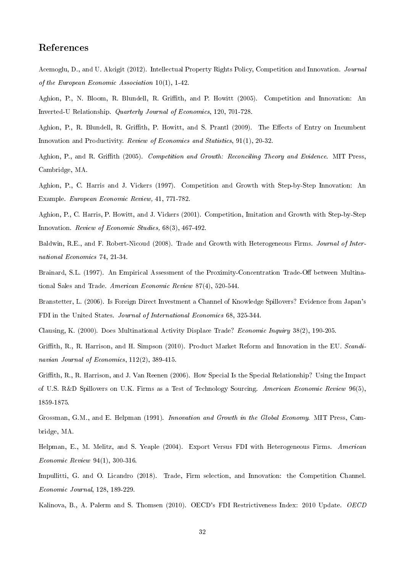## References

Acemoglu, D., and U. Akcigit (2012). Intellectual Property Rights Policy, Competition and Innovation. Journal of the European Economic Association 10(1), 1-42.

Aghion, P., N. Bloom, R. Blundell, R. Griffith, and P. Howitt (2005). Competition and Innovation: An Inverted-U Relationship. Quarterly Journal of Economics, 120, 701-728.

Aghion, P., R. Blundell, R. Griffith, P. Howitt, and S. Prantl (2009). The Effects of Entry on Incumbent Innovation and Productivity. Review of Economics and Statistics, 91(1), 20-32.

Aghion, P., and R. Griffith (2005). Competition and Growth: Reconciling Theory and Evidence. MIT Press, Cambridge, MA.

Aghion, P., C. Harris and J. Vickers (1997). Competition and Growth with Step-by-Step Innovation: An Example. European Economic Review, 41, 771-782.

Aghion, P., C. Harris, P. Howitt, and J. Vickers (2001). Competition, Imitation and Growth with Step-by-Step Innovation. Review of Economic Studies, 68(3), 467-492.

Baldwin, R.E., and F. Robert-Nicoud (2008). Trade and Growth with Heterogeneous Firms. Journal of International Economics 74, 21-34.

Brainard, S.L. (1997). An Empirical Assessment of the Proximity-Concentration Trade-Off between Multinational Sales and Trade. American Economic Review 87(4), 520-544.

Branstetter, L. (2006). Is Foreign Direct Investment a Channel of Knowledge Spillovers? Evidence from Japan's FDI in the United States. Journal of International Economics 68, 325-344.

Clausing, K. (2000). Does Multinational Activity Displace Trade? Economic Inquiry 38(2), 190-205.

Griffith, R., R. Harrison, and H. Simpson (2010). Product Market Reform and Innovation in the EU. Scandinavian Journal of Economics,  $112(2)$ , 389-415.

Grith, R., R. Harrison, and J. Van Reenen (2006). How Special Is the Special Relationship? Using the Impact of U.S. R&D Spillovers on U.K. Firms as a Test of Technology Sourcing. American Economic Review 96(5), 1859-1875.

Grossman, G.M., and E. Helpman (1991). Innovation and Growth in the Global Economy. MIT Press, Cambridge, MA.

Helpman, E., M. Melitz, and S. Yeaple (2004). Export Versus FDI with Heterogeneous Firms. American Economic Review 94(1), 300-316.

Impullitti, G. and O. Licandro (2018). Trade, Firm selection, and Innovation: the Competition Channel. Economic Journal, 128, 189-229.

Kalinova, B., A. Palerm and S. Thomsen (2010). OECD's FDI Restrictiveness Index: 2010 Update. OECD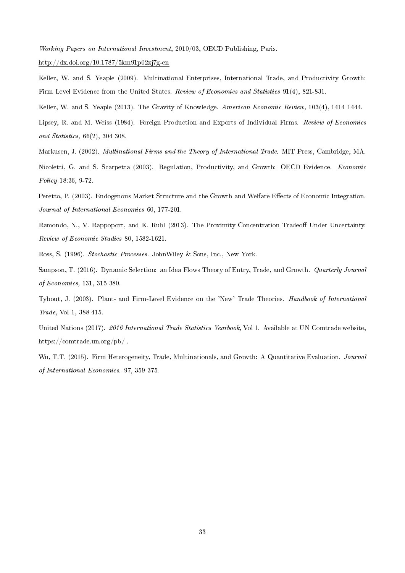Working Papers on International Investment, 2010/03, OECD Publishing, Paris.

http://dx.doi.org/10.1787/5km91p02zj7g-en

Keller, W. and S. Yeaple (2009). Multinational Enterprises, International Trade, and Productivity Growth: Firm Level Evidence from the United States. Review of Economics and Statistics 91(4), 821-831.

Keller, W. and S. Yeaple (2013). The Gravity of Knowledge. American Economic Review, 103(4), 1414-1444.

Lipsey, R. and M. Weiss (1984). Foreign Production and Exports of Individual Firms. Review of Economics and Statistics, 66(2), 304-308.

Markusen, J. (2002). Multinational Firms and the Theory of International Trade. MIT Press, Cambridge, MA.

Nicoletti, G. and S. Scarpetta (2003). Regulation, Productivity, and Growth: OECD Evidence. Economic Policy 18:36, 9-72.

Peretto, P. (2003). Endogenous Market Structure and the Growth and Welfare Effects of Economic Integration. Journal of International Economics 60, 177-201.

Ramondo, N., V. Rappoport, and K. Ruhl (2013). The Proximity-Concentration Tradeoff Under Uncertainty. Review of Economic Studies 80, 1582-1621.

Ross, S. (1996). Stochastic Processes. JohnWiley & Sons, Inc., New York.

Sampson, T. (2016). Dynamic Selection: an Idea Flows Theory of Entry, Trade, and Growth. Quarterly Journal of Economics, 131, 315-380.

Tybout, J. (2003). Plant- and Firm-Level Evidence on the 'New' Trade Theories. Handbook of International Trade, Vol 1, 388-415.

United Nations (2017). 2016 International Trade Statistics Yearbook, Vol 1. Available at UN Comtrade website, https://comtrade.un.org/pb/ .

Wu, T.T. (2015). Firm Heterogeneity, Trade, Multinationals, and Growth: A Quantitative Evaluation. *Journal* of International Economics. 97, 359-375.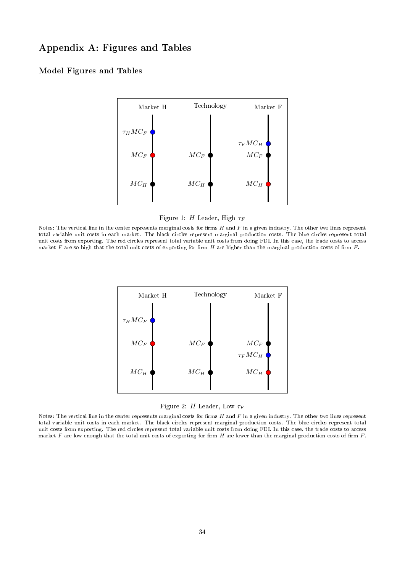## Appendix A: Figures and Tables

## Model Figures and Tables



Figure 1: H Leader, High  $\tau_F$ 

Notes: The vertical line in the center represents marginal costs for firms  $H$  and  $F$  in a given industry. The other two lines represent total variable unit costs in each market. The black circles represent marginal production costs. The blue circles represent total unit costs from exporting. The red circles represent total variable unit costs from doing FDI. In this case, the trade costs to access market  $F$  are so high that the total unit costs of exporting for firm  $H$  are higher than the marginal production costs of firm  $F$ .



Figure 2: H Leader, Low  $\tau_F$ 

Notes: The vertical line in the center represents marginal costs for firms  $H$  and  $F$  in a given industry. The other two lines represent total variable unit costs in each market. The black circles represent marginal production costs. The blue circles represent total unit costs from exporting. The red circles represent total variable unit costs from doing FDI. In this case, the trade costs to access market F are low enough that the total unit costs of exporting for firm H are lower than the marginal production costs of firm F.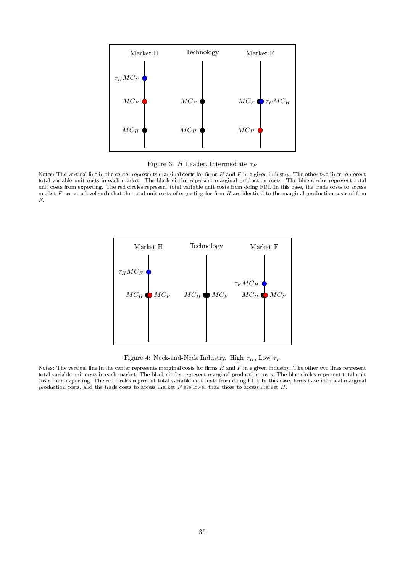

Figure 3: H Leader, Intermediate  $\tau_F$ 

Notes: The vertical line in the center represents marginal costs for firms  $H$  and  $F$  in a given industry. The other two lines represent total variable unit costs in each market. The black circles represent marginal production costs. The blue circles represent total unit costs from exporting. The red circles represent total variable unit costs from doing FDI. In this case, the trade costs to access market  $F$  are at a level such that the total unit costs of exporting for firm  $H$  are identical to the marginal production costs of firm F.



Figure 4: Neck-and-Neck Industry. High  $\tau_H$ , Low  $\tau_F$ 

Notes: The vertical line in the center represents marginal costs for firms  $H$  and  $F$  in a given industry. The other two lines represent total variable unit costs in each market. The black circles represent marginal production costs. The blue circles represent total unit costs from exporting. The red circles represent total variable unit costs from doing FDI. In this case, firms have identical marginal production costs, and the trade costs to access market  $F$  are lower than those to access market  $H$ .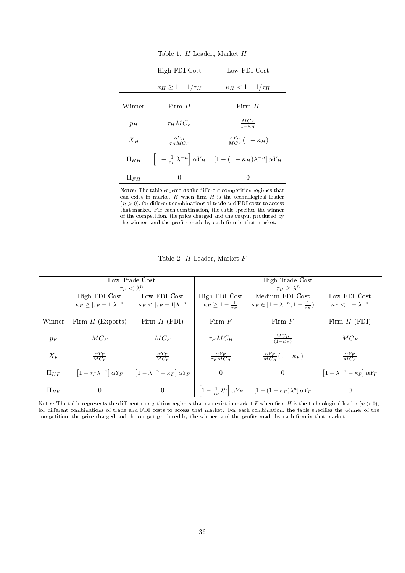|            | High FDI Cost                     | Low FDI Cost                                                                                                   |
|------------|-----------------------------------|----------------------------------------------------------------------------------------------------------------|
|            | $\kappa_H \geq 1-1/\tau_H$        | $\kappa_H < 1-1/\tau_H$                                                                                        |
| Winner     | Firm $H$                          | Firm $H$                                                                                                       |
|            |                                   |                                                                                                                |
| $p_H$      | $\tau_H M C_F$                    | $\frac{MC_F}{1-\kappa_H}$                                                                                      |
| $X_H$      | $\frac{\alpha Y_H}{\tau_H M C_F}$ | $\frac{\alpha Y_H}{M C_F} (1 - \kappa_H)$                                                                      |
| $\Pi_{HH}$ |                                   | $\left 1-\frac{1}{\tau_H}\lambda^{-n}\right \alpha Y_H\quad \left[1-(1-\kappa_H)\lambda^{-n}\right]\alpha Y_H$ |
| $\Pi_{FH}$ | $\theta$                          | $\theta$                                                                                                       |

Table 1: H Leader, Market H

Notes: The table represents the different competition regimes that can exist in market  $H$  when firm  $H$  is the technological leader  $(n > 0)$ , for different combinations of trade and FDI costs to access that market. For each combination, the table specifies the winner of the competition, the price charged and the output produced by the winner, and the profits made by each firm in that market.

|  |  | Table 2: $H$ Leader, Market $F$ |  |  |
|--|--|---------------------------------|--|--|
|--|--|---------------------------------|--|--|

|            | Low Trade Cost                                                                   |                                                                                                | High Trade Cost                      |                                                                                                           |                                                  |
|------------|----------------------------------------------------------------------------------|------------------------------------------------------------------------------------------------|--------------------------------------|-----------------------------------------------------------------------------------------------------------|--------------------------------------------------|
|            | $\tau_F < \lambda^n$                                                             |                                                                                                | $\tau_F > \lambda^n$                 |                                                                                                           |                                                  |
|            | High FDI Cost                                                                    | Low FDI Cost                                                                                   | High FDI Cost                        | Medium FDI Cost                                                                                           | Low FDI Cost                                     |
|            |                                                                                  |                                                                                                |                                      |                                                                                                           |                                                  |
|            | $\kappa_F \geq  \tau_F - 1  \lambda^{-n}$ $\kappa_F <  \tau_F - 1  \lambda^{-n}$ |                                                                                                | $\kappa_F \geq 1 - \frac{1}{\tau_F}$ | $\kappa_F \in [1 - \lambda^{-n}, 1 - \frac{1}{\tau_F})$                                                   | $\kappa_F < 1 - \lambda^{-n}$                    |
|            |                                                                                  |                                                                                                |                                      |                                                                                                           |                                                  |
| Winner     | Firm $H$ (Exports)                                                               | Firm $H$ (FDI)                                                                                 | Firm $F$                             | Firm $F$                                                                                                  | Firm $H$ (FDI)                                   |
|            |                                                                                  |                                                                                                |                                      |                                                                                                           |                                                  |
|            |                                                                                  |                                                                                                |                                      |                                                                                                           |                                                  |
| $p_F$      | $MC_F$                                                                           | $MC_F$                                                                                         | $\tau_F M C_H$                       | $\frac{MC_H}{(1-\kappa_F)}$                                                                               | $MC_F$                                           |
|            |                                                                                  |                                                                                                |                                      |                                                                                                           |                                                  |
|            |                                                                                  |                                                                                                |                                      |                                                                                                           |                                                  |
| $X_F$      | $\frac{\alpha Y_F}{MC_F}$                                                        | $\frac{\alpha Y_F}{MC_F}$                                                                      | $\frac{\alpha Y_F}{\tau_F M C_H}$    | $\frac{\alpha Y_F}{M C_H} (1 - \kappa_F)$                                                                 | $\frac{\alpha Y_F}{MC_F}$                        |
|            |                                                                                  |                                                                                                |                                      |                                                                                                           |                                                  |
| $\Pi_{HF}$ |                                                                                  | $\left[1-\tau_F\lambda^{-n}\right]\alpha Y_F$ $\left[1-\lambda^{-n}-\kappa_F\right]\alpha Y_F$ | $\theta$                             | $\theta$                                                                                                  | $\left[1-\lambda^{-n}-\kappa_F\right]\alpha Y_F$ |
|            |                                                                                  |                                                                                                |                                      |                                                                                                           |                                                  |
|            |                                                                                  |                                                                                                |                                      |                                                                                                           |                                                  |
| $\Pi_{FF}$ | $\theta$                                                                         | $\overline{0}$                                                                                 |                                      | $\left 1-\frac{1}{\tau_F}\lambda^n\right \alpha Y_F\qquad \left[1-(1-\kappa_F)\lambda^n\right]\alpha Y_F$ | $\theta$                                         |
|            |                                                                                  |                                                                                                |                                      |                                                                                                           |                                                  |

Notes: The table represents the different competition regimes that can exist in market F when firm H is the technological leader  $(n > 0)$ , for different combinations of trade and FDI costs to access that market. For each combination, the table specifies the winner of the competition, the price charged and the output produced by the winner, and the profits made by each firm in that market.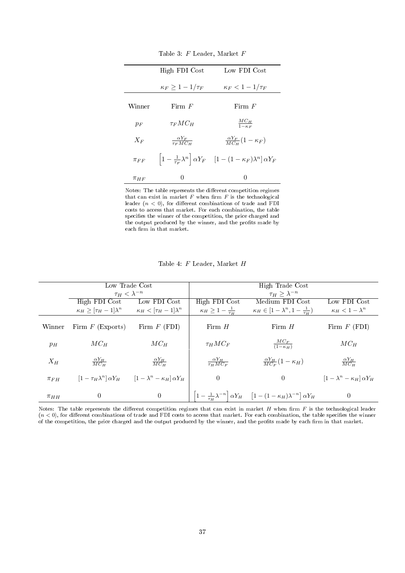|            | High FDI Cost                     | Low FDI Cost                                                                                             |
|------------|-----------------------------------|----------------------------------------------------------------------------------------------------------|
|            | $\kappa_F \geq 1-1/\tau_F$        | $\kappa_F < 1-1/\tau_F$                                                                                  |
| Winner     | Firm $F$                          | Firm $F$                                                                                                 |
| $p_F$      | $\tau_F M C_H$                    | $\frac{MC_H}{1-\kappa_F}$                                                                                |
|            |                                   |                                                                                                          |
| $X_F$      | $\frac{\alpha Y_F}{\tau_F M C_H}$ | $\frac{\alpha Y_F}{M C_H} (1 - \kappa_F)$                                                                |
| $\pi_{FF}$ |                                   | $\left 1-\frac{1}{\tau_F}\lambda^n\right \alpha Y_F\quad \left[1-(1-\kappa_F)\lambda^n\right]\alpha Y_F$ |
| $\pi_{HF}$ | 0                                 | $\left( \right)$                                                                                         |

Table 3: F Leader, Market F

Notes: The table represents the different competition regimes that can exist in market  $F$  when firm  $F$  is the technological leader  $(n < 0)$ , for different combinations of trade and FDI costs to access that market. For each combination, the table specifies the winner of the competition, the price charged and the output produced by the winner, and the profits made by each firm in that market.

|            | Low Trade Cost                        |                                                                                          | High Trade Cost                      |                                                                                                                |                                      |
|------------|---------------------------------------|------------------------------------------------------------------------------------------|--------------------------------------|----------------------------------------------------------------------------------------------------------------|--------------------------------------|
|            | $\tau_H < \lambda^{-n}$               |                                                                                          | $\tau_H > \lambda^{-n}$              |                                                                                                                |                                      |
|            | High FDI Cost                         | Low FDI Cost                                                                             | High FDI Cost                        | Medium FDI Cost                                                                                                | Low FDI Cost                         |
|            | $\kappa_H \geq [\tau_H - 1]\lambda^n$ | $\kappa_H<[\tau_H-1]\lambda^n$                                                           | $\kappa_H \geq 1 - \frac{1}{\tau_H}$ | $\kappa_H \in [1-\lambda^n, 1-\frac{1}{\tau_H})$                                                               | $\kappa_H < 1 - \lambda^n$           |
| Winner     | Firm $F$ (Exports)                    | Firm $F$ (FDI)                                                                           | Firm $H$                             | Firm $H$                                                                                                       | Firm $F$ (FDI)                       |
| $p_H$      | $MC_H$                                | $MC_H$                                                                                   | $\tau_H M C_F$                       | $\frac{MC_F}{(1-\kappa_H)}$                                                                                    | $MC_H$                               |
| $X_H$      | $\frac{\alpha Y_H}{MC_H}$             | $\frac{\alpha Y_H}{MC_H}$                                                                | $\frac{\alpha Y_H}{\tau_H M C_F}$    | $\frac{\alpha Y_H}{MC_F}(1-\kappa_H)$                                                                          | $\frac{\alpha Y_H}{MC_H}$            |
| $\pi_{FH}$ |                                       | $\left[1-\tau_H\lambda^n\right]\alpha Y_H$ $\left[1-\lambda^n-\kappa_H\right]\alpha Y_H$ | $\theta$                             | $\Omega$                                                                                                       | $[1-\lambda^n-\kappa_H]\,\alpha Y_H$ |
| $\pi_{HH}$ | $\theta$                              | $\theta$                                                                                 |                                      | $\left 1-\frac{1}{\tau_H}\lambda^{-n}\right \alpha Y_H\quad \left[1-(1-\kappa_H)\lambda^{-n}\right]\alpha Y_H$ | $\overline{0}$                       |

Table 4: F Leader, Market H

Notes: The table represents the different competition regimes that can exist in market  $H$  when firm  $F$  is the technological leader  $(n < 0)$ , for different combinations of trade and FDI costs to access that market. For each combination, the table specifies the winner of the competition, the price charged and the output produced by the winner, and the profits made by each firm in that market.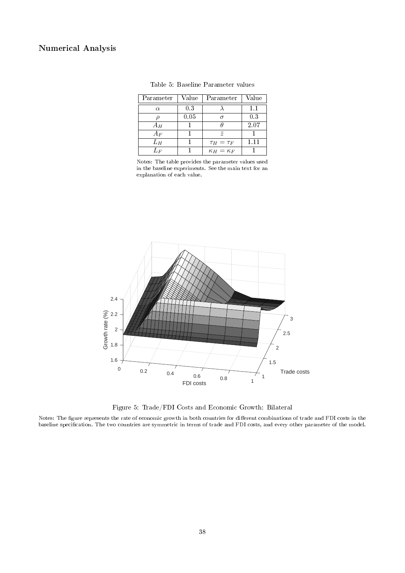## Numerical Analysis

| Parameter | Value | Parameter             | Value    |
|-----------|-------|-----------------------|----------|
| $\alpha$  | 0.3   |                       | 1.1      |
|           | 0.05  | $\sigma$              | 0.3      |
| $A_H$     |       |                       | 2.07     |
| $A_F$     |       | $\overline{z}$        |          |
| $L_H$     |       | $\tau_H=\tau_F$       | $1.11\,$ |
| $L_{F}$   |       | $\kappa_H = \kappa_F$ |          |

Table 5: Baseline Parameter values

Notes: The table provides the parameter values used in the baseline experiments. See the main text for an explanation of each value.



Figure 5: Trade/FDI Costs and Economic Growth: Bilateral

Notes: The figure represents the rate of economic growth in both countries for different combinations of trade and FDI costs in the baseline specification. The two countries are symmetric in terms of trade and FDI costs, and every other parameter of the model.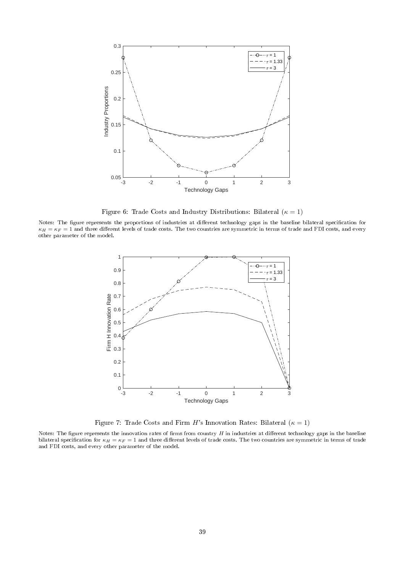

Figure 6: Trade Costs and Industry Distributions: Bilateral ( $\kappa = 1$ )

Notes: The figure represents the proportions of industries at different technology gaps in the baseline bilateral specification for  $\kappa_H = \kappa_F = 1$  and three different levels of trade costs. The two countries are symmetric in terms of trade and FDI costs, and every other parameter of the model.



Figure 7: Trade Costs and Firm H's Innovation Rates: Bilateral ( $\kappa = 1$ )

Notes: The figure represents the innovation rates of firms from country  $H$  in industries at different technology gaps in the baseline bilateral specification for  $\kappa_H = \kappa_F = 1$  and three different levels of trade costs. The two countries are symmetric in terms of trade and FDI costs, and every other parameter of the model.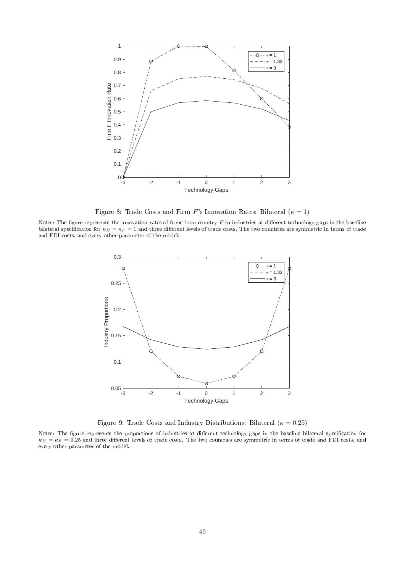

Figure 8: Trade Costs and Firm F's Innovation Rates: Bilateral  $(\kappa = 1)$ 

Notes: The figure represents the innovation rates of firms from country  $F$  in industries at different technology gaps in the baseline bilateral specification for  $\kappa_H = \kappa_F = 1$  and three different levels of trade costs. The two countries are symmetric in terms of trade and FDI costs, and every other parameter of the model.



Figure 9: Trade Costs and Industry Distributions: Bilateral ( $\kappa = 0.25$ )

Notes: The figure represents the proportions of industries at different technology gaps in the baseline bilateral specification for  $\kappa_H = \kappa_F = 0.25$  and three different levels of trade costs. The two countries are symmetric in terms of trade and FDI costs, and every other parameter of the model.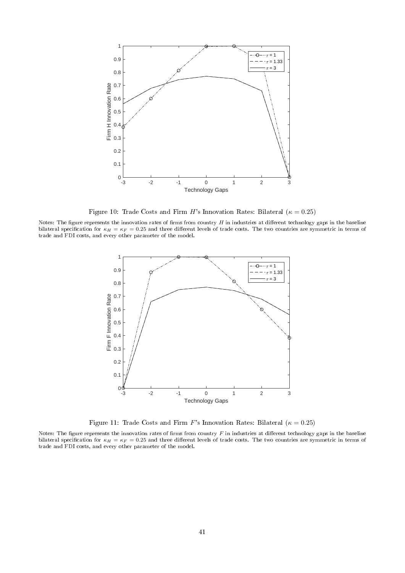

Figure 10: Trade Costs and Firm H's Innovation Rates: Bilateral ( $\kappa = 0.25$ )

Notes: The figure represents the innovation rates of firms from country  $H$  in industries at different technology gaps in the baseline bilateral specification for  $\kappa_H = \kappa_F = 0.25$  and three different levels of trade costs. The two countries are symmetric in terms of trade and FDI costs, and every other parameter of the model.



Figure 11: Trade Costs and Firm F's Innovation Rates: Bilateral ( $\kappa = 0.25$ )

Notes: The figure represents the innovation rates of firms from country  $F$  in industries at different technology gaps in the baseline bilateral specification for  $\kappa_H = \kappa_F = 0.25$  and three different levels of trade costs. The two countries are symmetric in terms of trade and FDI costs, and every other parameter of the model.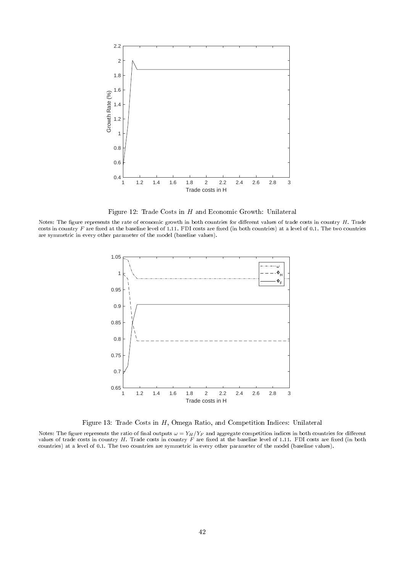

Figure 12: Trade Costs in  $H$  and Economic Growth: Unilateral

Notes: The figure represents the rate of economic growth in both countries for different values of trade costs in country  $H$ . Trade costs in country  $F$  are fixed at the baseline level of 1.11. FDI costs are fixed (in both countries) at a level of 0.1. The two countries are symmetric in every other parameter of the model (baseline values).



Figure 13: Trade Costs in H, Omega Ratio, and Competition Indices: Unilateral

Notes: The figure represents the ratio of final outputs  $\omega = Y_H/Y_F$  and aggregate competition indices in both countries for different values of trade costs in country  $H$ . Trade costs in country  $F$  are fixed at the baseline level of 1.11. FDI costs are fixed (in both countries) at a level of 0.1. The two countries are symmetric in every other parameter of the model (baseline values).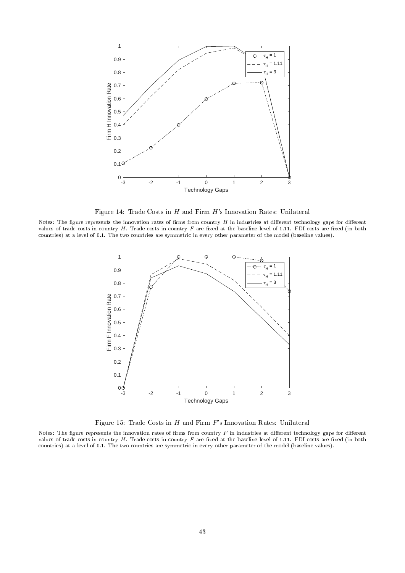

Figure 14: Trade Costs in  $H$  and Firm  $H$ 's Innovation Rates: Unilateral

Notes: The figure represents the innovation rates of firms from country  $H$  in industries at different technology gaps for different values of trade costs in country  $H$ . Trade costs in country  $F$  are fixed at the baseline level of 1.11. FDI costs are fixed (in both countries) at a level of 0.1. The two countries are symmetric in every other parameter of the model (baseline values).



Figure 15: Trade Costs in  $H$  and Firm  $F$ 's Innovation Rates: Unilateral

Notes: The figure represents the innovation rates of firms from country  $F$  in industries at different technology gaps for different values of trade costs in country  $H$ . Trade costs in country  $F$  are fixed at the baseline level of 1.11. FDI costs are fixed (in both countries) at a level of 0.1. The two countries are symmetric in every other parameter of the model (baseline values).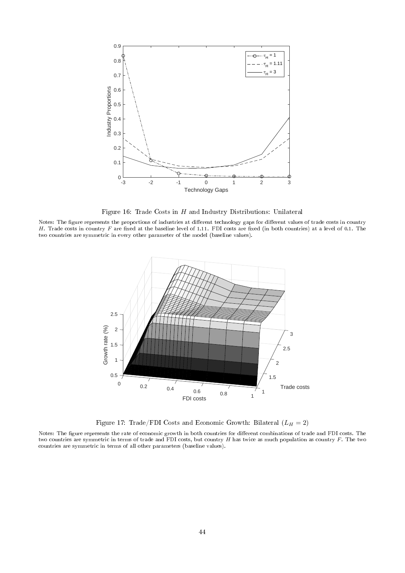

Figure 16: Trade Costs in  $H$  and Industry Distributions: Unilateral

Notes: The figure represents the proportions of industries at different technology gaps for different values of trade costs in country H. Trade costs in country  $F$  are fixed at the baseline level of 1.11. FDI costs are fixed (in both countries) at a level of 0.1. The two countries are symmetric in every other parameter of the model (baseline values).



Figure 17: Trade/FDI Costs and Economic Growth: Bilateral  $(L_H = 2)$ 

Notes: The figure represents the rate of economic growth in both countries for different combinations of trade and FDI costs. The two countries are symmetric in terms of trade and FDI costs, but country  $H$  has twice as much population as country  $F$ . The two countries are symmetric in terms of all other parameters (baseline values).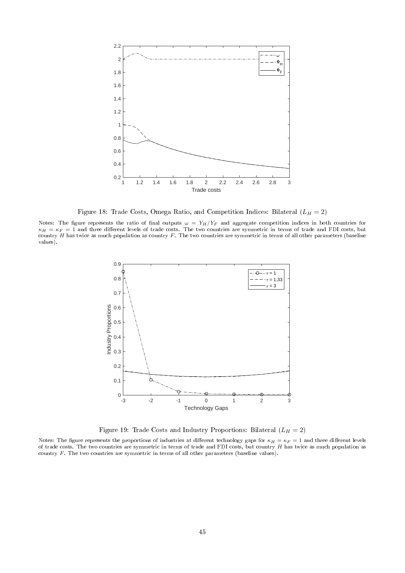

Figure 18: Trade Costs, Omega Ratio, and Competition Indices: Bilateral  $(L_H = 2)$ 

Notes: The figure represents the ratio of final outputs  $\omega\,=\,Y_H/Y_F$  and aggregate competition indices in both countries for  $\kappa_H=\kappa_F=1$  and three different levels of trade costs. The two countries are symmetric in terms of trade and FDI costs, but country  $H$  has twice as much population as country  $F$ . The two countries are symmetric in terms of all other parameters (baseline values).



Figure 19: Trade Costs and Industry Proportions: Bilateral  $(L_H = 2)$ 

Notes: The figure represents the proportions of industries at different technology gaps for  $\kappa_H = \kappa_F = 1$  and three different levels of trade costs. The two countries are symmetric in terms of trade and FDI costs, but country  $H$  has twice as much population as country F. The two countries are symmetric in terms of all other parameters (baseline values).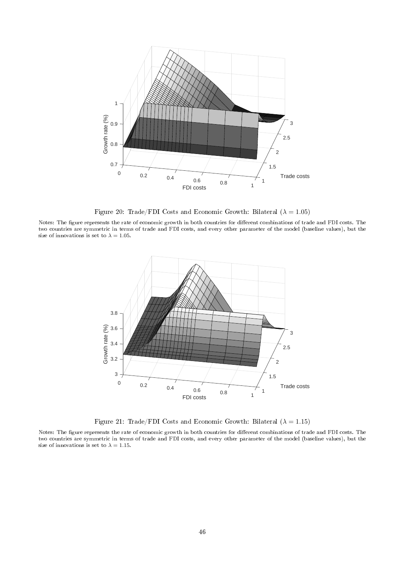

Figure 20: Trade/FDI Costs and Economic Growth: Bilateral ( $\lambda = 1.05$ )

Notes: The figure represents the rate of economic growth in both countries for different combinations of trade and FDI costs. The two countries are symmetric in terms of trade and FDI costs, and every other parameter of the model (baseline values), but the size of innovations is set to  $\lambda = 1.05$ .



Figure 21: Trade/FDI Costs and Economic Growth: Bilateral  $(\lambda = 1.15)$ 

Notes: The figure represents the rate of economic growth in both countries for different combinations of trade and FDI costs. The two countries are symmetric in terms of trade and FDI costs, and every other parameter of the model (baseline values), but the size of innovations is set to  $\lambda = 1.15$ .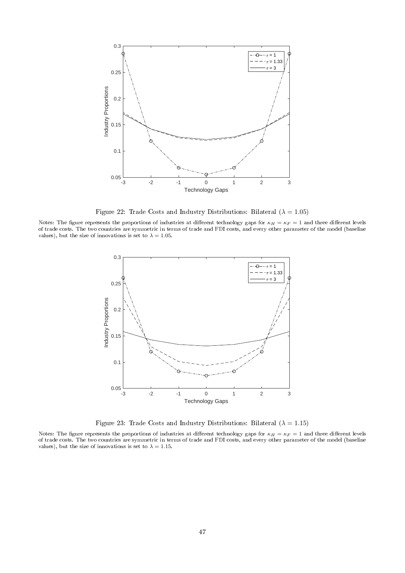

Figure 22: Trade Costs and Industry Distributions: Bilateral ( $\lambda = 1.05$ )

Notes: The figure represents the proportions of industries at different technology gaps for  $\kappa_H = \kappa_F = 1$  and three different levels of trade costs. The two countries are symmetric in terms of trade and FDI costs, and every other parameter of the model (baseline values), but the size of innovations is set to  $\lambda = 1.05$ .



Figure 23: Trade Costs and Industry Distributions: Bilateral ( $\lambda = 1.15$ )

Notes: The figure represents the proportions of industries at different technology gaps for  $\kappa_H=\kappa_F=1$  and three different levels of trade costs. The two countries are symmetric in terms of trade and FDI costs, and every other parameter of the model (baseline values), but the size of innovations is set to  $\lambda = 1.15$ .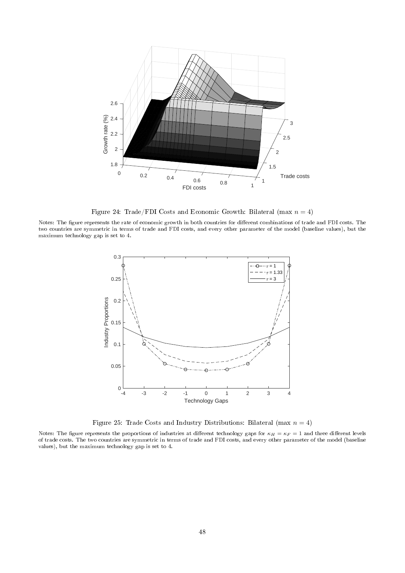

Figure 24: Trade/FDI Costs and Economic Growth: Bilateral (max  $n = 4$ )

Notes: The figure represents the rate of economic growth in both countries for different combinations of trade and FDI costs. The two countries are symmetric in terms of trade and FDI costs, and every other parameter of the model (baseline values), but the maximum technology gap is set to 4.



Figure 25: Trade Costs and Industry Distributions: Bilateral (max  $n = 4$ )

Notes: The figure represents the proportions of industries at different technology gaps for  $\kappa_H = \kappa_F = 1$  and three different levels of trade costs. The two countries are symmetric in terms of trade and FDI costs, and every other parameter of the model (baseline values), but the maximum technology gap is set to 4.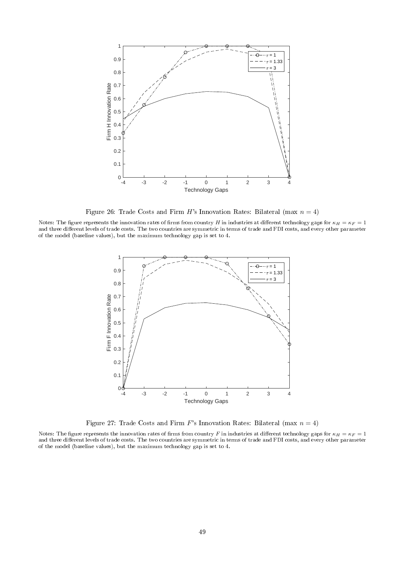

Figure 26: Trade Costs and Firm H's Innovation Rates: Bilateral (max  $n = 4$ )

Notes: The figure represents the innovation rates of firms from country H in industries at different technology gaps for  $\kappa_H = \kappa_F = 1$ and three different levels of trade costs. The two countries are symmetric in terms of trade and FDI costs, and every other parameter of the model (baseline values), but the maximum technology gap is set to 4.



Figure 27: Trade Costs and Firm F's Innovation Rates: Bilateral (max  $n = 4$ )

Notes: The figure represents the innovation rates of firms from country F in industries at different technology gaps for  $\kappa_H = \kappa_F = 1$ and three different levels of trade costs. The two countries are symmetric in terms of trade and FDI costs, and every other parameter of the model (baseline values), but the maximum technology gap is set to 4.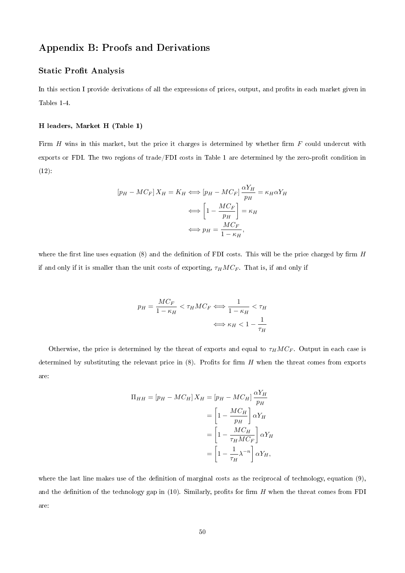## Appendix B: Proofs and Derivations

#### **Static Profit Analysis**

In this section I provide derivations of all the expressions of prices, output, and profits in each market given in Tables 1-4.

#### H leaders, Market H (Table 1)

Firm  $H$  wins in this market, but the price it charges is determined by whether firm  $F$  could undercut with exports or FDI. The two regions of trade/FDI costs in Table 1 are determined by the zero-profit condition in (12):

$$
[p_H - MC_F] X_H = K_H \Longleftrightarrow [p_H - MC_F] \frac{\alpha Y_H}{p_H} = \kappa_H \alpha Y_H
$$

$$
\Longleftrightarrow \left[1 - \frac{MC_F}{p_H}\right] = \kappa_H
$$

$$
\Longleftrightarrow p_H = \frac{MC_F}{1 - \kappa_H},
$$

where the first line uses equation (8) and the definition of FDI costs. This will be the price charged by firm  $H$ if and only if it is smaller than the unit costs of exporting,  $\tau_H M C_F$ . That is, if and only if

$$
p_H = \frac{MC_F}{1 - \kappa_H} < \tau_H M C_F \iff \frac{1}{1 - \kappa_H} < \tau_H
$$
\n
$$
\iff \kappa_H < 1 - \frac{1}{\tau_H}
$$

Otherwise, the price is determined by the threat of exports and equal to  $\tau_H M C_F$ . Output in each case is determined by substituting the relevant price in  $(8)$ . Profits for firm H when the threat comes from exports are:

$$
\Pi_{HH} = [p_H - MC_H] X_H = [p_H - MC_H] \frac{\alpha Y_H}{p_H}
$$

$$
= \left[1 - \frac{MC_H}{p_H}\right] \alpha Y_H
$$

$$
= \left[1 - \frac{MC_H}{\tau_H M C_F}\right] \alpha Y_H
$$

$$
= \left[1 - \frac{1}{\tau_H} \lambda^{-n}\right] \alpha Y_H,
$$

where the last line makes use of the definition of marginal costs as the reciprocal of technology, equation (9), and the definition of the technology gap in  $(10)$ . Similarly, profits for firm H when the threat comes from FDI are: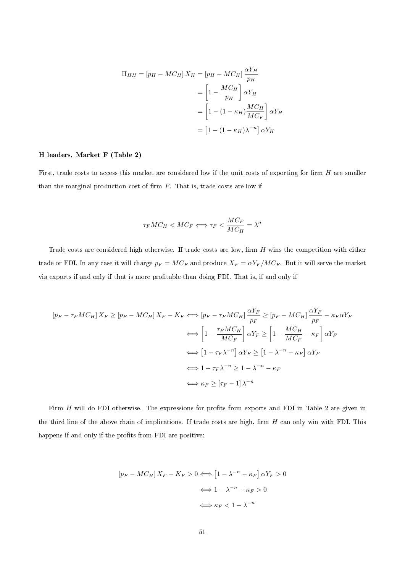$$
\Pi_{HH} = [p_H - MC_H] X_H = [p_H - MC_H] \frac{\alpha Y_H}{p_H}
$$

$$
= \left[1 - \frac{MC_H}{p_H}\right] \alpha Y_H
$$

$$
= \left[1 - (1 - \kappa_H) \frac{MC_H}{MC_F}\right] \alpha Y_H
$$

$$
= \left[1 - (1 - \kappa_H)\lambda^{-n}\right] \alpha Y_H
$$

#### H leaders, Market F (Table 2)

First, trade costs to access this market are considered low if the unit costs of exporting for firm  $H$  are smaller than the marginal production cost of firm  $F$ . That is, trade costs are low if

$$
\tau_F M C_H < M C_F \Longleftrightarrow \tau_F < \frac{M C_F}{M C_H} = \lambda^n
$$

Trade costs are considered high otherwise. If trade costs are low, firm  $H$  wins the competition with either trade or FDI. In any case it will charge  $p_F = MC_F$  and produce  $X_F = \alpha Y_F/MC_F$ . But it will serve the market via exports if and only if that is more profitable than doing FDI. That is, if and only if

$$
[p_F - \tau_F M C_H] X_F \ge [p_F - M C_H] X_F - K_F \iff [p_F - \tau_F M C_H] \frac{\alpha Y_F}{p_F} \ge [p_F - M C_H] \frac{\alpha Y_F}{p_F} - \kappa_F \alpha Y_F
$$
  

$$
\iff \left[1 - \frac{\tau_F M C_H}{M C_F}\right] \alpha Y_F \ge \left[1 - \frac{M C_H}{M C_F} - \kappa_F\right] \alpha Y_F
$$
  

$$
\iff \left[1 - \tau_F \lambda^{-n}\right] \alpha Y_F \ge \left[1 - \lambda^{-n} - \kappa_F\right] \alpha Y_F
$$
  

$$
\iff 1 - \tau_F \lambda^{-n} \ge 1 - \lambda^{-n} - \kappa_F
$$
  

$$
\iff \kappa_F \ge \left[\tau_F - 1\right] \lambda^{-n}
$$

Firm H will do FDI otherwise. The expressions for profits from exports and FDI in Table 2 are given in the third line of the above chain of implications. If trade costs are high, firm  $H$  can only win with FDI. This happens if and only if the profits from FDI are positive:

$$
[p_F - MC_H]X_F - K_F > 0 \Longleftrightarrow [1 - \lambda^{-n} - \kappa_F] \alpha Y_F > 0
$$

$$
\Longleftrightarrow 1 - \lambda^{-n} - \kappa_F > 0
$$

$$
\Longleftrightarrow \kappa_F < 1 - \lambda^{-n}
$$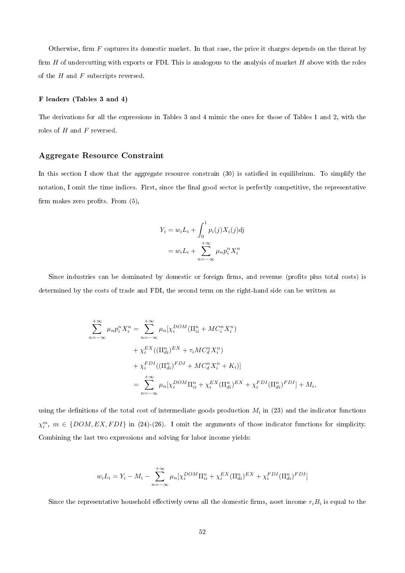Otherwise, firm  $F$  captures its domestic market. In that case, the price it charges depends on the threat by firm  $H$  of undercutting with exports or FDI. This is analogous to the analysis of market  $H$  above with the roles of the  $H$  and  $F$  subscripts reversed.

#### F leaders (Tables 3 and 4)

The derivations for all the expressions in Tables 3 and 4 mimic the ones for those of Tables 1 and 2, with the roles of  $H$  and  $F$  reversed.

#### Aggregate Resource Constraint

In this section I show that the aggregate resource constrain (30) is satisfied in equilibrium. To simplify the notation, I omit the time indices. First, since the final good sector is perfectly competitive, the representative firm makes zero profits. From  $(5)$ ,

$$
Y_i = w_i L_i + \int_0^1 p_i(j) X_i(j) dj
$$
  
=  $w_i L_i + \sum_{n=-\infty}^{+\infty} \mu_n p_i^n X_i^n$ 

Since industries can be dominated by domestic or foreign firms, and revenue (profits plus total costs) is determined by the costs of trade and FDI, the second term on the right-hand side can be written as

$$
\sum_{n=-\infty}^{+\infty} \mu_n p_i^n X_i^n = \sum_{n=-\infty}^{+\infty} \mu_n [\chi_i^{DOM} (\Pi_{ii}^n + MC_i^n X_i^n) \n+ \chi_i^{EX} ((\Pi_{di}^n)^{EX} + \tau_i MC_d^n X_i^n) \n+ \chi_i^{FDI} ((\Pi_{di}^n)^{FDI} + MC_d^n X_i^n + K_i)] \n= \sum_{n=-\infty}^{+\infty} \mu_n [\chi_i^{DOM} \Pi_{ii}^n + \chi_i^{EX} (\Pi_{di}^n)^{EX} + \chi_i^{FDI} (\Pi_{di}^n)^{FDI}] + M_i,
$$

using the definitions of the total cost of intermediate goods production  $M_i$  in (23) and the indicator functions  $\chi_i^m$ ,  $m \in \{DOM, EX, FDI\}$  in (24)-(26). I omit the arguments of those indicator functions for simplicity. Combining the last two expressions and solving for labor income yields:

$$
w_i L_i = Y_i - M_i - \sum_{n=-\infty}^{+\infty} \mu_n [\chi_i^{DOM} \Pi_{ii}^n + \chi_i^{EX} (\Pi_{di}^n)^{EX} + \chi_i^{FDI} (\Pi_{di}^n)^{FDI}]
$$

Since the representative household effectively owns all the domestic firms, asset income  $r_iB_i$  is equal to the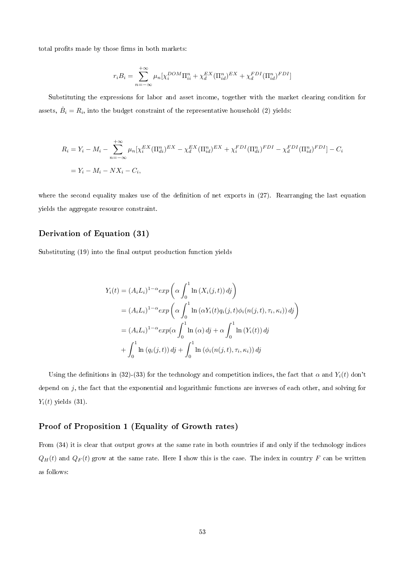total profits made by those firms in both markets:

$$
r_i B_i = \sum_{n=-\infty}^{+\infty} \mu_n [\chi_i^{DOM} \Pi_{ii}^n + \chi_d^{EX} (\Pi_{id}^n)^{EX} + \chi_d^{FDI} (\Pi_{id}^n)^{FDI}]
$$

Substituting the expressions for labor and asset income, together with the market clearing condition for assets,  $\dot{B}_i = R_i$ , into the budget constraint of the representative household (2) yields:

$$
R_i = Y_i - M_i - \sum_{n=-\infty}^{+\infty} \mu_n [\chi_i^{EX} (\Pi_{di}^n)^{EX} - \chi_d^{EX} (\Pi_{id}^n)^{EX} + \chi_i^{FDI} (\Pi_{di}^n)^{FDI} - \chi_d^{FDI} (\Pi_{id}^n)^{FDI}] - C_i
$$
  
=  $Y_i - M_i - N X_i - C_i$ ,

where the second equality makes use of the definition of net exports in (27). Rearranging the last equation yields the aggregate resource constraint.

#### Derivation of Equation (31)

Substituting (19) into the final output production function yields

$$
Y_i(t) = (A_i L_i)^{1-\alpha} exp\left(\alpha \int_0^1 \ln(X_i(j,t)) \, dj\right)
$$
  
\n
$$
= (A_i L_i)^{1-\alpha} exp\left(\alpha \int_0^1 \ln(\alpha Y_i(t) q_i(j,t) \phi_i(n(j,t), \tau_i, \kappa_i)) \, dj\right)
$$
  
\n
$$
= (A_i L_i)^{1-\alpha} exp(\alpha \int_0^1 \ln(\alpha) \, dj + \alpha \int_0^1 \ln(Y_i(t)) \, dj
$$
  
\n
$$
+ \int_0^1 \ln(q_i(j,t)) \, dj + \int_0^1 \ln(\phi_i(n(j,t), \tau_i, \kappa_i)) \, dj
$$

Using the definitions in (32)-(33) for the technology and competition indices, the fact that  $\alpha$  and  $Y_i(t)$  don't depend on  $j$ , the fact that the exponential and logarithmic functions are inverses of each other, and solving for  $Y_i(t)$  yields (31).

#### Proof of Proposition 1 (Equality of Growth rates)

From (34) it is clear that output grows at the same rate in both countries if and only if the technology indices  $Q_H(t)$  and  $Q_F(t)$  grow at the same rate. Here I show this is the case. The index in country F can be written as follows: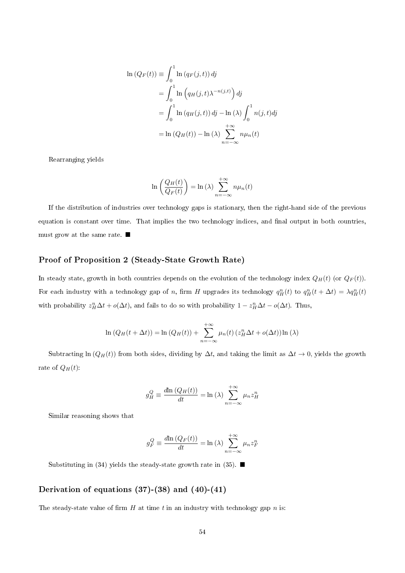$$
\ln(Q_F(t)) \equiv \int_0^1 \ln(q_F(j,t)) \, dj
$$
  
= 
$$
\int_0^1 \ln(q_H(j,t)\lambda^{-n(j,t)}) \, dj
$$
  
= 
$$
\int_0^1 \ln(q_H(j,t)) \, dj - \ln(\lambda) \int_0^1 n(j,t) \, dj
$$
  
= 
$$
\ln(Q_H(t)) - \ln(\lambda) \sum_{n=-\infty}^{+\infty} n\mu_n(t)
$$

Rearranging yields

$$
\ln\left(\frac{Q_H(t)}{Q_F(t)}\right) = \ln(\lambda) \sum_{n=-\infty}^{+\infty} n\mu_n(t)
$$

If the distribution of industries over technology gaps is stationary, then the right-hand side of the previous equation is constant over time. That implies the two technology indices, and final output in both countries, must grow at the same rate.  $\blacksquare$ 

## Proof of Proposition 2 (Steady-State Growth Rate)

In steady state, growth in both countries depends on the evolution of the technology index  $Q_H(t)$  (or  $Q_F(t)$ ). For each industry with a technology gap of n, firm H upgrades its technology  $q_H^n(t)$  to  $q_H^n(t + \Delta t) = \lambda q_H^n(t)$ with probability  $z_H^n \Delta t + o(\Delta t)$ , and fails to do so with probability  $1 - z_H^n \Delta t - o(\Delta t)$ . Thus,

$$
\ln (Q_H(t + \Delta t)) = \ln (Q_H(t)) + \sum_{n=-\infty}^{+\infty} \mu_n(t) (z_H^n \Delta t + o(\Delta t)) \ln (\lambda)
$$

Subtracting ln  $(Q_H(t))$  from both sides, dividing by  $\Delta t$ , and taking the limit as  $\Delta t \to 0$ , yields the growth rate of  $Q_H(t)$ :

$$
g_H^Q \equiv \frac{d \ln \left(Q_H(t)\right)}{dt} = \ln \left(\lambda\right) \sum_{n=-\infty}^{+\infty} \mu_n z_H^n
$$

Similar reasoning shows that

$$
g_F^Q \equiv \frac{d \ln \left(Q_F(t)\right)}{dt} = \ln \left(\lambda\right) \sum_{n=-\infty}^{+\infty} \mu_n z_F^n
$$

Substituting in (34) yields the steady-state growth rate in (35).  $\blacksquare$ 

#### Derivation of equations (37)-(38) and (40)-(41)

The steady-state value of firm  $H$  at time  $t$  in an industry with technology gap  $n$  is: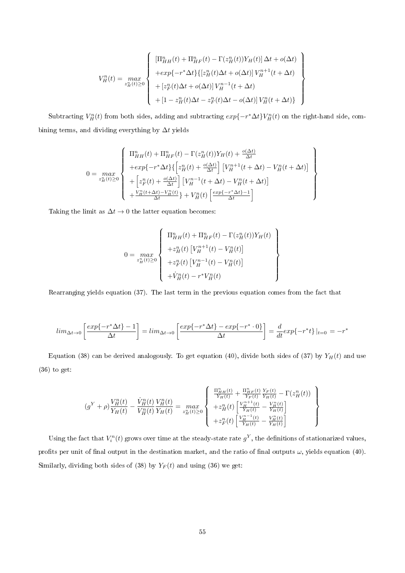$$
V_H^n(t) = \max_{z_H^n(t) \ge 0} \left\{ \begin{array}{l} [\Pi_{HH}^n(t) + \Pi_{HF}^n(t) - \Gamma(z_H^n(t))Y_H(t)] \Delta t + o(\Delta t) \\ + \exp\{-r^* \Delta t\} \{ [z_H^n(t) \Delta t + o(\Delta t)] V_H^{n+1}(t + \Delta t) \\ + [z_F^n(t) \Delta t + o(\Delta t)] V_H^{n-1}(t + \Delta t) \\ + [1 - z_H^n(t) \Delta t - z_F^n(t) \Delta t - o(\Delta t)] V_H^n(t + \Delta t) \} \end{array} \right\}
$$

Subtracting  $V_H^n(t)$  from both sides, adding and subtracting  $exp{-r^*\Delta t}V_H^n(t)$  on the right-hand side, combining terms, and dividing everything by  $\Delta t$  yields

$$
0 = \max_{z_H^n(t) \ge 0} \left\{ \begin{array}{l} \Pi_{HH}^n(t) + \Pi_{HF}^n(t) - \Gamma(z_H^n(t))Y_H(t) + \frac{o(\Delta t)}{\Delta t} \\ + exp\{-r^*\Delta t\}\left\{ \left[z_H^n(t) + \frac{o(\Delta t)}{\Delta t}\right] \left[V_H^{n+1}(t + \Delta t) - V_H^n(t + \Delta t)\right] \\ + \left[z_F^n(t) + \frac{o(\Delta t)}{\Delta t}\right] \left[V_H^{n-1}(t + \Delta t) - V_H^n(t + \Delta t)\right] \\ + \frac{V_H^n(t + \Delta t) - V_H^n(t)}{\Delta t} \right\} + V_H^n(t) \left[\frac{exp\{-r^*\Delta t\} - 1}{\Delta t}\right] \end{array} \right\}
$$

Taking the limit as  $\Delta t \to 0$  the latter equation becomes:

$$
0 = \max_{z_H^n(t) \ge 0} \left\{ \begin{array}{l} \Pi^n_{HH}(t) + \Pi^n_{HF}(t) - \Gamma(z_H^n(t)) Y_H(t) \\ + z_H^n(t) \left[ V_H^{n+1}(t) - V_H^n(t) \right] \\ + z_F^n(t) \left[ V_H^{n-1}(t) - V_H^n(t) \right] \\ + \dot{V}_H^n(t) - r^* V_H^n(t) \end{array} \right\}
$$

Rearranging yields equation (37). The last term in the previous equation comes from the fact that

$$
lim_{\Delta t \to 0} \left[ \frac{exp\{-r^*\Delta t\} - 1}{\Delta t} \right] = lim_{\Delta t \to 0} \left[ \frac{exp\{-r^*\Delta t\} - exp\{-r^* \cdot 0\}}{\Delta t} \right] = \frac{d}{dt} exp\{-r^*t\} |_{t=0} = -r^*
$$

Equation (38) can be derived analogously. To get equation (40), divide both sides of (37) by  $Y_H(t)$  and use (36) to get:

$$
(g^{Y} + \rho) \frac{V_{H}^{n}(t)}{Y_{H}(t)} - \frac{\dot{V}_{H}^{n}(t)}{V_{H}^{n}(t)} \frac{V_{H}^{n}(t)}{Y_{H}(t)} = \max_{z_{H}^{n}(t) \ge 0} \left\{ \begin{array}{l} \frac{\Pi_{H}^{n}(t)}{Y_{H}(t)} + \frac{\Pi_{H}^{n}(t)}{Y_{F}(t)} \frac{Y_{F}(t)}{Y_{H}(t)} - \Gamma(z_{H}^{n}(t)) \\ + z_{H}^{n}(t) \left[ \frac{V_{H}^{n+1}(t)}{Y_{H}(t)} - \frac{V_{H}^{n}(t)}{Y_{H}(t)} \right] \\ + z_{F}^{n}(t) \left[ \frac{V_{H}^{n-1}(t)}{Y_{H}(t)} - \frac{V_{H}^{n}(t)}{Y_{H}(t)} \right] \end{array} \right\}
$$

Using the fact that  $V_i^n(t)$  grows over time at the steady-state rate  $g^Y$ , the definitions of stationarized values, profits per unit of final output in the destination market, and the ratio of final outputs  $\omega$ , yields equation (40). Similarly, dividing both sides of (38) by  $Y_F(t)$  and using (36) we get: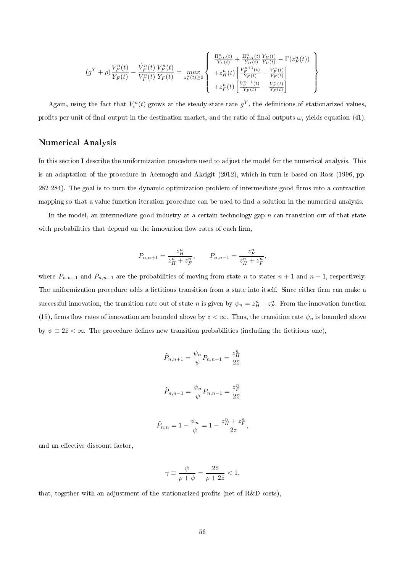$$
(g^{Y} + \rho) \frac{V_{F}^{n}(t)}{Y_{F}(t)} - \frac{\dot{V}_{F}^{n}(t)}{V_{F}^{n}(t)} \frac{V_{F}^{n}(t)}{Y_{F}(t)} = \max_{z_{F}^{n}(t) \geq 0} \left\{ \begin{array}{l} \frac{\Pi_{F}^{n}(t)}{Y_{F}(t)} + \frac{\Pi_{F}^{n}(t)}{Y_{H}(t)} \frac{Y_{H}(t)}{Y_{F}(t)} - \Gamma(z_{F}^{n}(t)) \\ + z_{H}^{n}(t) \left[ \frac{V_{F}^{n+1}(t)}{Y_{F}(t)} - \frac{V_{F}^{n}(t)}{Y_{F}(t)} \right] \\ + z_{F}^{n}(t) \left[ \frac{V_{F}^{n-1}(t)}{Y_{F}(t)} - \frac{V_{F}^{n}(t)}{Y_{F}(t)} \right] \end{array} \right\}
$$

Again, using the fact that  $V_i^n(t)$  grows at the steady-state rate  $g^Y$ , the definitions of stationarized values, profits per unit of final output in the destination market, and the ratio of final outputs  $\omega$ , yields equation (41).

#### Numerical Analysis

In this section I describe the uniformization procedure used to adjust the model for the numerical analysis. This is an adaptation of the procedure in Acemoglu and Akcigit (2012), which in turn is based on Ross (1996, pp. 282-284). The goal is to turn the dynamic optimization problem of intermediate good firms into a contraction mapping so that a value function iteration procedure can be used to find a solution in the numerical analysis.

In the model, an intermediate good industry at a certain technology gap  $n$  can transition out of that state with probabilities that depend on the innovation flow rates of each firm,

$$
P_{n,n+1} = \frac{z_H^n}{z_H^n + z_F^n}, \qquad P_{n,n-1} = \frac{z_F^n}{z_H^n + z_F^n},
$$

where  $P_{n,n+1}$  and  $P_{n,n-1}$  are the probabilities of moving from state n to states  $n+1$  and  $n-1$ , respectively. The uniformization procedure adds a fictitious transition from a state into itself. Since either firm can make a successful innovation, the transition rate out of state n is given by  $\psi_n = z_H^n + z_F^n$ . From the innovation function (15), firms flow rates of innovation are bounded above by  $\bar{z} < \infty$ . Thus, the transition rate  $\psi_n$  is bounded above by  $\psi \equiv 2\bar{z} < \infty$ . The procedure defines new transition probabilities (including the fictitious one),

$$
\tilde{P}_{n,n+1} = \frac{\psi_n}{\psi} P_{n,n+1} = \frac{z_H^n}{2\bar{z}}
$$
  

$$
\tilde{P}_{n,n-1} = \frac{\psi_n}{\psi} P_{n,n-1} = \frac{z_F^n}{2\bar{z}}
$$

$$
\tilde{P}_{n,n}=1-\frac{\psi_n}{\psi}=1-\frac{z_H^n+z_F^n}{2\bar{z}},
$$

and an effective discount factor,

$$
\gamma \equiv \frac{\psi}{\rho + \psi} = \frac{2\bar{z}}{\rho + 2\bar{z}} < 1,
$$

that, together with an adjustment of the stationarized profits (net of R&D costs),